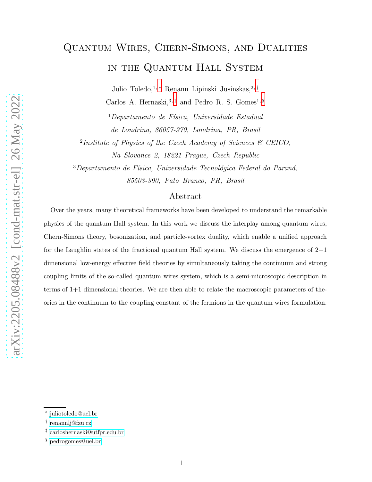# Quantum Wires, Chern-Simons, and Dualities in the Quantum Hall System

Julio Toledo,<br/> $^{1,\,*}$ Renann Lipinski Jusinskas,<br/>2 $^\dagger$ 

Carlos A. Hernaski,  $3, \ddagger$  and Pedro R. S. Gomes<sup>1, [§](#page-0-3)</sup>

 $1$ Departamento de Física, Universidade Estadual de Londrina, 86057-970, Londrina, PR, Brasil

2 Institute of Physics of the Czech Academy of Sciences & CEICO, Na Slovance 2, 18221 Prague, Czech Republic

 $3$ Departamento de Física, Universidade Tecnológica Federal do Paraná, 85503-390, Pato Branco, PR, Brasil

### Abstract

Over the years, many theoretical frameworks have been developed to understand the remarkable physics of the quantum Hall system. In this work we discuss the interplay among quantum wires, Chern-Simons theory, bosonization, and particle-vortex duality, which enable a unified approach for the Laughlin states of the fractional quantum Hall system. We discuss the emergence of  $2+1$ dimensional low-energy effective field theories by simultaneously taking the continuum and strong coupling limits of the so-called quantum wires system, which is a semi-microscopic description in terms of 1+1 dimensional theories. We are then able to relate the macroscopic parameters of theories in the continuum to the coupling constant of the fermions in the quantum wires formulation.

<span id="page-0-1"></span><span id="page-0-0"></span><sup>∗</sup> [juliotoledo@uel.br](mailto:juliotoledo@uel.br)

<span id="page-0-2"></span><sup>†</sup> [renannlj@fzu.cz](mailto:renannlj@fzu.cz)

<span id="page-0-3"></span><sup>‡</sup> [carloshernaski@utfpr.edu.br](mailto:carloshernaski@utfpr.edu.br)

<sup>§</sup> [pedrogomes@uel.br](mailto:pedrogomes@uel.br)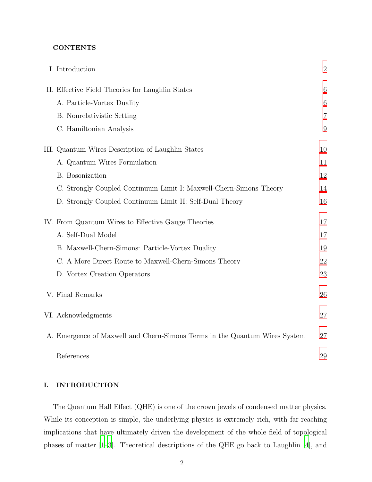# **CONTENTS**

|  | I. Introduction                                                            | $\overline{2}$ |
|--|----------------------------------------------------------------------------|----------------|
|  | II. Effective Field Theories for Laughlin States                           | 6              |
|  | A. Particle-Vortex Duality                                                 | 6              |
|  | B. Nonrelativistic Setting                                                 | $\overline{7}$ |
|  | C. Hamiltonian Analysis                                                    | 9              |
|  | III. Quantum Wires Description of Laughlin States                          | 10             |
|  | A. Quantum Wires Formulation                                               | 11             |
|  | <b>B.</b> Bosonization                                                     | 12             |
|  | C. Strongly Coupled Continuum Limit I: Maxwell-Chern-Simons Theory         | 14             |
|  | D. Strongly Coupled Continuum Limit II: Self-Dual Theory                   | 16             |
|  | IV. From Quantum Wires to Effective Gauge Theories                         | 17             |
|  | A. Self-Dual Model                                                         | 17             |
|  | B. Maxwell-Chern-Simons: Particle-Vortex Duality                           | 19             |
|  | C. A More Direct Route to Maxwell-Chern-Simons Theory                      | 22             |
|  | D. Vortex Creation Operators                                               | 23             |
|  | V. Final Remarks                                                           | 26             |
|  | VI. Acknowledgments                                                        | 27             |
|  | A. Emergence of Maxwell and Chern-Simons Terms in the Quantum Wires System | 27             |
|  | References                                                                 | 29             |

# <span id="page-1-0"></span>I. INTRODUCTION

The Quantum Hall Effect (QHE) is one of the crown jewels of condensed matter physics. While its conception is simple, the underlying physics is extremely rich, with far-reaching implications that have ultimately driven the development of the whole field of topological phases of matter [\[1](#page-28-1)[–3\]](#page-28-2). Theoretical descriptions of the QHE go back to Laughlin [\[4](#page-28-3)], and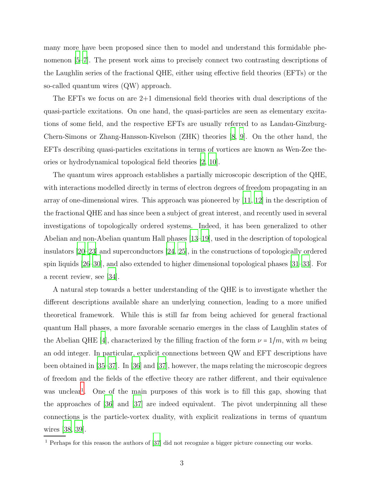many more have been proposed since then to model and understand this formidable phenomenon [\[5](#page-28-4)[–7\]](#page-28-5). The present work aims to precisely connect two contrasting descriptions of the Laughlin series of the fractional QHE, either using effective field theories (EFTs) or the so-called quantum wires (QW) approach.

The EFTs we focus on are  $2+1$  dimensional field theories with dual descriptions of the quasi-particle excitations. On one hand, the quasi-particles are seen as elementary excitations of some field, and the respective EFTs are usually referred to as Landau-Ginzburg-Chern-Simons or Zhang-Hansson-Kivelson (ZHK) theories [\[8,](#page-28-6) [9\]](#page-28-7). On the other hand, the EFTs describing quasi-particles excitations in terms of vortices are known as Wen-Zee theories or hydrodynamical topological field theories [\[2](#page-28-8), [10](#page-28-9)].

The quantum wires approach establishes a partially microscopic description of the QHE, with interactions modelled directly in terms of electron degrees of freedom propagating in an array of one-dimensional wires. This approach was pioneered by [\[11](#page-29-0), [12](#page-29-1)] in the description of the fractional QHE and has since been a subject of great interest, and recently used in several investigations of topologically ordered systems. Indeed, it has been generalized to other Abelian and non-Abelian quantum Hall phases [\[13](#page-29-2)[–19\]](#page-29-3), used in the description of topological insulators [\[20](#page-29-4)[–23](#page-29-5)] and superconductors [\[24](#page-29-6), [25\]](#page-30-0), in the constructions of topologically ordered spin liquids [\[26](#page-30-1)[–30](#page-30-2)], and also extended to higher dimensional topological phases [\[31](#page-30-3)[–33\]](#page-30-4). For a recent review, see [\[34](#page-30-5)].

A natural step towards a better understanding of the QHE is to investigate whether the different descriptions available share an underlying connection, leading to a more unified theoretical framework. While this is still far from being achieved for general fractional quantum Hall phases, a more favorable scenario emerges in the class of Laughlin states of the Abelian QHE [\[4](#page-28-3)], characterized by the filling fraction of the form  $\nu = 1/m$ , with m being an odd integer. In particular, explicit connections between QW and EFT descriptions have been obtained in [\[35](#page-30-6)[–37\]](#page-30-7). In [\[36](#page-30-8)] and [\[37\]](#page-30-7), however, the maps relating the microscopic degrees of freedom and the fields of the effective theory are rather different, and their equivalence was unclear<sup>[1](#page-2-0)</sup>. One of the main purposes of this work is to fill this gap, showing that the approaches of [\[36\]](#page-30-8) and [\[37\]](#page-30-7) are indeed equivalent. The pivot underpinning all these connections is the particle-vortex duality, with explicit realizations in terms of quantum wires [\[38,](#page-31-0) [39\]](#page-31-1).

<span id="page-2-0"></span><sup>1</sup> Perhaps for this reason the authors of [\[37](#page-30-7)] did not recognize a bigger picture connecting our works.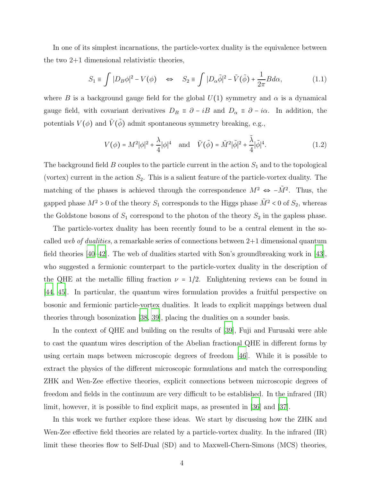In one of its simplest incarnations, the particle-vortex duality is the equivalence between the two 2+1 dimensional relativistic theories,

<span id="page-3-0"></span>
$$
S_1 \equiv \int |D_B \phi|^2 - V(\phi) \quad \Leftrightarrow \quad S_2 \equiv \int |D_\alpha \tilde{\phi}|^2 - \tilde{V}(\tilde{\phi}) + \frac{1}{2\pi} B d\alpha,\tag{1.1}
$$

where B is a background gauge field for the global  $U(1)$  symmetry and  $\alpha$  is a dynamical gauge field, with covariant derivatives  $D_B \equiv \partial - iB$  and  $D_\alpha \equiv \partial - i\alpha$ . In addition, the potentials  $V(\phi)$  and  $\tilde{V}(\tilde{\phi})$  admit spontaneous symmetry breaking, e.g.,

$$
V(\phi) = M^2 |\phi|^2 + \frac{\lambda}{4} |\phi|^4 \quad \text{and} \quad \tilde{V}(\tilde{\phi}) = \tilde{M}^2 |\tilde{\phi}|^2 + \frac{\tilde{\lambda}}{4} |\tilde{\phi}|^4. \tag{1.2}
$$

The background field  $B$  couples to the particle current in the action  $S_1$  and to the topological (vortex) current in the action  $S_2$ . This is a salient feature of the particle-vortex duality. The matching of the phases is achieved through the correspondence  $M^2 \Leftrightarrow -\tilde{M}^2$ . Thus, the gapped phase  $M^2 > 0$  of the theory  $S_1$  corresponds to the Higgs phase  $\tilde{M}^2 < 0$  of  $S_2$ , whereas the Goldstone bosons of  $S_1$  correspond to the photon of the theory  $S_2$  in the gapless phase.

The particle-vortex duality has been recently found to be a central element in the socalled web of dualities, a remarkable series of connections between  $2+1$  dimensional quantum field theories [\[40](#page-31-2)[–42\]](#page-31-3). The web of dualities started with Son's groundbreaking work in [\[43\]](#page-31-4), who suggested a fermionic counterpart to the particle-vortex duality in the description of the QHE at the metallic filling fraction  $\nu = 1/2$ . Enlightening reviews can be found in [\[44](#page-31-5), [45](#page-31-6)]. In particular, the quantum wires formulation provides a fruitful perspective on bosonic and fermionic particle-vortex dualities. It leads to explicit mappings between dual theories through bosonization [\[38,](#page-31-0) [39\]](#page-31-1), placing the dualities on a sounder basis.

In the context of QHE and building on the results of [\[39\]](#page-31-1), Fuji and Furusaki were able to cast the quantum wires description of the Abelian fractional QHE in different forms by using certain maps between microscopic degrees of freedom [\[46](#page-31-7)]. While it is possible to extract the physics of the different microscopic formulations and match the corresponding ZHK and Wen-Zee effective theories, explicit connections between microscopic degrees of freedom and fields in the continuum are very difficult to be established. In the infrared (IR) limit, however, it is possible to find explicit maps, as presented in [\[36](#page-30-8)] and [\[37\]](#page-30-7).

In this work we further explore these ideas. We start by discussing how the ZHK and Wen-Zee effective field theories are related by a particle-vortex duality. In the infrared (IR) limit these theories flow to Self-Dual (SD) and to Maxwell-Chern-Simons (MCS) theories,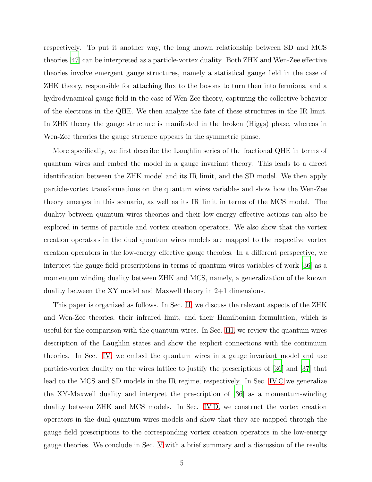respectively. To put it another way, the long known relationship between SD and MCS theories [\[47\]](#page-31-8) can be interpreted as a particle-vortex duality. Both ZHK and Wen-Zee effective theories involve emergent gauge structures, namely a statistical gauge field in the case of ZHK theory, responsible for attaching flux to the bosons to turn then into fermions, and a hydrodynamical gauge field in the case of Wen-Zee theory, capturing the collective behavior of the electrons in the QHE. We then analyze the fate of these structures in the IR limit. In ZHK theory the gauge structure is manifested in the broken (Higgs) phase, whereas in Wen-Zee theories the gauge strucure appears in the symmetric phase.

More specifically, we first describe the Laughlin series of the fractional QHE in terms of quantum wires and embed the model in a gauge invariant theory. This leads to a direct identification between the ZHK model and its IR limit, and the SD model. We then apply particle-vortex transformations on the quantum wires variables and show how the Wen-Zee theory emerges in this scenario, as well as its IR limit in terms of the MCS model. The duality between quantum wires theories and their low-energy effective actions can also be explored in terms of particle and vortex creation operators. We also show that the vortex creation operators in the dual quantum wires models are mapped to the respective vortex creation operators in the low-energy effective gauge theories. In a different perspective, we interpret the gauge field prescriptions in terms of quantum wires variables of work [\[36](#page-30-8)] as a momentum winding duality between ZHK and MCS, namely, a generalization of the known duality between the XY model and Maxwell theory in 2+1 dimensions.

This paper is organized as follows. In Sec. [II,](#page-5-0) we discuss the relevant aspects of the ZHK and Wen-Zee theories, their infrared limit, and their Hamiltonian formulation, which is useful for the comparison with the quantum wires. In Sec. [III,](#page-9-0) we review the quantum wires description of the Laughlin states and show the explicit connections with the continuum theories. In Sec. [IV,](#page-16-0) we embed the quantum wires in a gauge invariant model and use particle-vortex duality on the wires lattice to justify the prescriptions of [\[36\]](#page-30-8) and [\[37](#page-30-7)] that lead to the MCS and SD models in the IR regime, respectively. In Sec. [IV C](#page-21-0) we generalize the XY-Maxwell duality and interpret the prescription of [\[36](#page-30-8)] as a momentum-winding duality between ZHK and MCS models. In Sec. [IV D,](#page-22-0) we construct the vortex creation operators in the dual quantum wires models and show that they are mapped through the gauge field prescriptions to the corresponding vortex creation operators in the low-energy gauge theories. We conclude in Sec. [V](#page-25-0) with a brief summary and a discussion of the results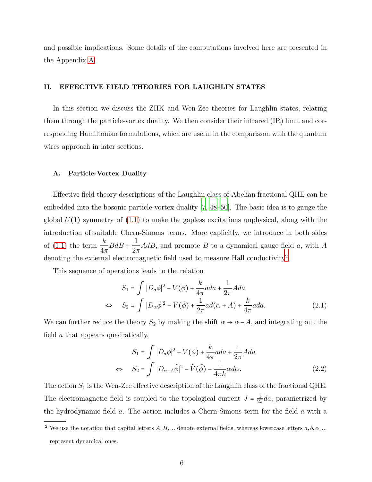and possible implications. Some details of the computations involved here are presented in the Appendix [A.](#page-26-1)

#### <span id="page-5-0"></span>II. EFFECTIVE FIELD THEORIES FOR LAUGHLIN STATES

In this section we discuss the ZHK and Wen-Zee theories for Laughlin states, relating them through the particle-vortex duality. We then consider their infrared (IR) limit and corresponding Hamiltonian formulations, which are useful in the comparisson with the quantum wires approach in later sections.

#### <span id="page-5-1"></span>A. Particle-Vortex Duality

Effective field theory descriptions of the Laughlin class of Abelian fractional QHE can be embedded into the bosonic particle-vortex duality [\[7,](#page-28-5) [48](#page-31-9)[–50\]](#page-31-10). The basic idea is to gauge the global  $U(1)$  symmetry of  $(1.1)$  to make the gapless excitations unphysical, along with the introduction of suitable Chern-Simons terms. More explicitly, we introduce in both sides of [\(1.1\)](#page-3-0) the term  $\frac{k}{4}$  $4\pi$  $BdB + \frac{1}{2}$  $2\pi$  $AdB$ , and promote  $B$  to a dynamical gauge field  $a$ , with  $A$ denoting the external electromagnetic field used to measure Hall conductivity<sup>[2](#page-5-2)</sup>.

This sequence of operations leads to the relation

$$
S_1 = \int |D_a \phi|^2 - V(\phi) + \frac{k}{4\pi} a d\phi + \frac{1}{2\pi} A d\phi
$$
  
\n
$$
\Leftrightarrow \quad S_2 = \int |D_a \tilde{\phi}|^2 - \tilde{V}(\tilde{\phi}) + \frac{1}{2\pi} a d(\alpha + A) + \frac{k}{4\pi} a d\phi.
$$
\n(2.1)

We can further reduce the theory  $S_2$  by making the shift  $\alpha \to \alpha - A$ , and integrating out the field a that appears quadratically,

<span id="page-5-3"></span>
$$
S_1 = \int |D_a \phi|^2 - V(\phi) + \frac{k}{4\pi} a d\phi + \frac{1}{2\pi} A d\phi
$$
  
\n
$$
\Leftrightarrow \quad S_2 = \int |D_{\alpha - A} \tilde{\phi}|^2 - \tilde{V}(\tilde{\phi}) - \frac{1}{4\pi k} \alpha d\alpha.
$$
\n(2.2)

The action  $S_1$  is the Wen-Zee effective description of the Laughlin class of the fractional QHE. The electromagnetic field is coupled to the topological current  $J = \frac{1}{2i}$  $\frac{1}{2\pi}da$ , parametrized by the hydrodynamic field a. The action includes a Chern-Simons term for the field a with a

<span id="page-5-2"></span><sup>&</sup>lt;sup>2</sup> We use the notation that capital letters  $A, B, ...$  denote external fields, whereas lowercase letters  $a, b, \alpha, ...$ represent dynamical ones.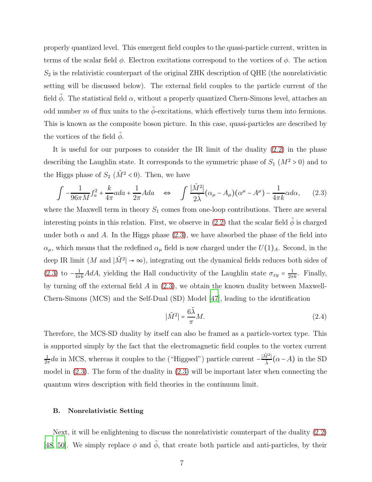properly quantized level. This emergent field couples to the quasi-particle current, written in terms of the scalar field  $\phi$ . Electron excitations correspond to the vortices of  $\phi$ . The action  $S_2$  is the relativistic counterpart of the original ZHK description of QHE (the nonrelativistic setting will be discussed below). The external field couples to the particle current of the field  $\phi$ . The statistical field  $\alpha$ , without a properly quantized Chern-Simons level, attaches an odd number m of flux units to the  $\tilde{\phi}$ -excitations, which effectively turns them into fermions. This is known as the composite boson picture. In this case, quasi-particles are described by the vortices of the field  $\ddot{\phi}$ .

It is useful for our purposes to consider the IR limit of the duality [\(2.2\)](#page-5-3) in the phase describing the Laughlin state. It corresponds to the symmetric phase of  $S_1$  ( $M^2 > 0$ ) and to the Higgs phase of  $S_2$  ( $\tilde{M}^2$  < 0). Then, we have

<span id="page-6-1"></span>
$$
\int -\frac{1}{96\pi M} f_a^2 + \frac{k}{4\pi} a da + \frac{1}{2\pi} A da \quad \Leftrightarrow \quad \int \frac{|\tilde{M}^2|}{2\tilde{\lambda}} (\alpha_\mu - A_\mu) (\alpha^\mu - A^\mu) - \frac{1}{4\pi k} \alpha d\alpha, \tag{2.3}
$$

where the Maxwell term in theory  $S_1$  comes from one-loop contributions. There are several interesting points in this relation. First, we observe in [\(2.2\)](#page-5-3) that the scalar field  $\tilde{\phi}$  is charged under both  $\alpha$  and A. In the Higgs phase [\(2.3\)](#page-6-1), we have absorbed the phase of the field into  $\alpha_{\mu}$ , which means that the redefined  $\alpha_{\mu}$  field is now charged under the  $U(1)_{A}$ . Second, in the deep IR limit (M and  $|\tilde{M}^2| \to \infty$ ), integrating out the dynamical fields reduces both sides of [\(2.3\)](#page-6-1) to  $-\frac{1}{4\pi k}AdA$ , yielding the Hall conductivity of the Laughlin state  $\sigma_{xy} = \frac{1}{2\pi k}$ . Finally, by turning off the external field  $A$  in  $(2.3)$ , we obtain the known duality between Maxwell-Chern-Simons (MCS) and the Self-Dual (SD) Model [\[47](#page-31-8)], leading to the identification

<span id="page-6-2"></span>
$$
|\tilde{M}^2| = \frac{6\tilde{\lambda}}{\pi}M.
$$
\n(2.4)

Therefore, the MCS-SD duality by itself can also be framed as a particle-vortex type. This is supported simply by the fact that the electromagnetic field couples to the vortex current 1  $\frac{1}{2\pi}da$  in MCS, whereas it couples to the ("Higgsed") particle current  $-\frac{|\tilde{M}^2|}{\tilde{\lambda}}(\alpha - A)$  in the SD model in [\(2.3\)](#page-6-1). The form of the duality in [\(2.3\)](#page-6-1) will be important later when connecting the quantum wires description with field theories in the continuum limit.

#### <span id="page-6-0"></span>B. Nonrelativistic Setting

Next, it will be enlightening to discuss the nonrelativistic counterpart of the duality [\(2.2\)](#page-5-3) [\[48,](#page-31-9) [50](#page-31-10)]. We simply replace  $\phi$  and  $\tilde{\phi}$ , that create both particle and anti-particles, by their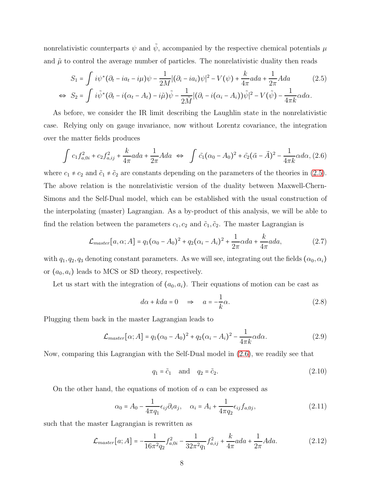nonrelativistic counterparts  $\psi$  and  $\tilde{\psi}$ , accompanied by the respective chemical potentials  $\mu$ and  $\tilde{\mu}$  to control the average number of particles. The nonrelativistic duality then reads

<span id="page-7-0"></span>
$$
S_1 = \int i\psi^*(\partial_t - ia_t - i\mu)\psi - \frac{1}{2M} |(\partial_i - ia_i)\psi|^2 - V(\psi) + \frac{k}{4\pi} ada + \frac{1}{2\pi} Ada \qquad (2.5)
$$
  
\n
$$
\Leftrightarrow S_2 = \int i\tilde{\psi}^*(\partial_t - i(\alpha_t - A_t) - i\tilde{\mu})\tilde{\psi} - \frac{1}{2\tilde{M}} |(\partial_i - i(\alpha_i - A_i))\tilde{\psi}|^2 - V(\tilde{\psi}) - \frac{1}{4\pi k}\alpha d\alpha.
$$

As before, we consider the IR limit describing the Laughlin state in the nonrelativistic case. Relying only on gauge invariance, now without Lorentz covariance, the integration over the matter fields produces

<span id="page-7-1"></span>
$$
\int c_1 f_{a,0i}^2 + c_2 f_{a,ij}^2 + \frac{k}{4\pi} a da + \frac{1}{2\pi} A da \iff \int \tilde{c}_1 (\alpha_0 - A_0)^2 + \tilde{c}_2 (\vec{\alpha} - \vec{A})^2 - \frac{1}{4\pi k} \alpha d\alpha, (2.6)
$$

where  $c_1 \neq c_2$  and  $\tilde{c}_1 \neq \tilde{c}_2$  are constants depending on the parameters of the theories in [\(2.5\)](#page-7-0). The above relation is the nonrelativistic version of the duality between Maxwell-Chern-Simons and the Self-Dual model, which can be established with the usual construction of the interpolating (master) Lagrangian. As a by-product of this analysis, we will be able to find the relation between the parameters  $c_1, c_2$  and  $\tilde{c}_1, \tilde{c}_2$ . The master Lagrangian is

$$
\mathcal{L}_{master}[a, \alpha; A] = q_1(\alpha_0 - A_0)^2 + q_2(\alpha_i - A_i)^2 + \frac{1}{2\pi}\alpha da + \frac{k}{4\pi}ada,\tag{2.7}
$$

with  $q_1, q_2, q_3$  denoting constant parameters. As we will see, integrating out the fields  $(\alpha_0, \alpha_i)$ or  $(a_0, a_i)$  leads to MCS or SD theory, respectively.

Let us start with the integration of  $(a_0, a_i)$ . Their equations of motion can be cast as

$$
d\alpha + kda = 0 \quad \Rightarrow \quad a = -\frac{1}{k}\alpha. \tag{2.8}
$$

Plugging them back in the master Lagrangian leads to

$$
\mathcal{L}_{master}[\alpha; A] = q_1(\alpha_0 - A_0)^2 + q_2(\alpha_i - A_i)^2 - \frac{1}{4\pi k}\alpha d\alpha.
$$
 (2.9)

Now, comparing this Lagrangian with the Self-Dual model in [\(2.6\)](#page-7-1), we readily see that

<span id="page-7-2"></span>
$$
q_1 = \tilde{c}_1 \quad \text{and} \quad q_2 = \tilde{c}_2. \tag{2.10}
$$

On the other hand, the equations of motion of  $\alpha$  can be expressed as

$$
\alpha_0 = A_0 - \frac{1}{4\pi q_1} \epsilon_{ij} \partial_i a_j, \quad \alpha_i = A_i + \frac{1}{4\pi q_2} \epsilon_{ij} f_{a,0j}, \tag{2.11}
$$

such that the master Lagrangian is rewritten as

$$
\mathcal{L}_{master}[a; A] = -\frac{1}{16\pi^2 q_2} f_{a,0i}^2 - \frac{1}{32\pi^2 q_1} f_{a,ij}^2 + \frac{k}{4\pi} a d a + \frac{1}{2\pi} A d a. \tag{2.12}
$$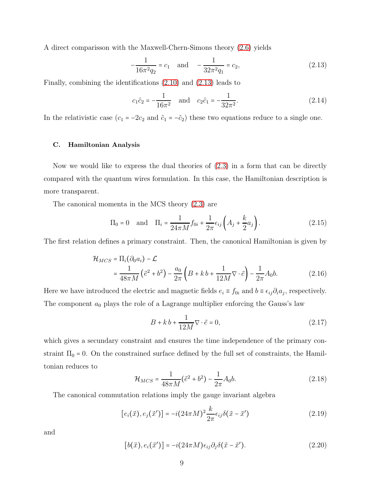A direct comparisson with the Maxwell-Chern-Simons theory [\(2.6\)](#page-7-1) yields

<span id="page-8-1"></span>
$$
-\frac{1}{16\pi^2 q_2} = c_1 \quad \text{and} \quad -\frac{1}{32\pi^2 q_1} = c_2,\tag{2.13}
$$

Finally, combining the identifications [\(2.10\)](#page-7-2) and [\(2.13\)](#page-8-1) leads to

$$
c_1 \tilde{c}_2 = -\frac{1}{16\pi^2}
$$
 and  $c_2 \tilde{c}_1 = -\frac{1}{32\pi^2}$ . (2.14)

In the relativistic case  $(c_1 = -2c_2 \text{ and } \tilde{c}_1 = -\tilde{c}_2)$  these two equations reduce to a single one.

#### <span id="page-8-0"></span>C. Hamiltonian Analysis

Now we would like to express the dual theories of [\(2.3\)](#page-6-1) in a form that can be directly compared with the quantum wires formulation. In this case, the Hamiltonian description is more transparent.

The canonical momenta in the MCS theory [\(2.3\)](#page-6-1) are

$$
\Pi_0 = 0
$$
 and  $\Pi_i = \frac{1}{24\pi M} f_{0i} + \frac{1}{2\pi} \epsilon_{ij} \left( A_j + \frac{k}{2} a_j \right).$  (2.15)

The first relation defines a primary constraint. Then, the canonical Hamiltonian is given by

$$
\mathcal{H}_{MCS} = \Pi_i (\partial_0 a_i) - \mathcal{L}
$$
  
=  $\frac{1}{48\pi M} (\vec{e}^2 + b^2) - \frac{a_0}{2\pi} \left( B + kb + \frac{1}{12M} \nabla \cdot \vec{e} \right) - \frac{1}{2\pi} A_0 b.$  (2.16)

Here we have introduced the electric and magnetic fields  $e_i \equiv f_{0i}$  and  $b \equiv \epsilon_{ij}\partial_i a_j$ , respectively. The component  $a_0$  plays the role of a Lagrange multiplier enforcing the Gauss's law

<span id="page-8-2"></span>
$$
B + k b + \frac{1}{12M} \nabla \cdot \vec{e} = 0, \qquad (2.17)
$$

which gives a secundary constraint and ensures the time independence of the primary constraint  $\Pi_0 = 0$ . On the constrained surface defined by the full set of constraints, the Hamiltonian reduces to

<span id="page-8-3"></span>
$$
\mathcal{H}_{MCS} = \frac{1}{48\pi M} (\vec{e}^2 + b^2) - \frac{1}{2\pi} A_0 b. \tag{2.18}
$$

The canonical commutation relations imply the gauge invariant algebra

$$
[e_i(\vec{x}), e_j(\vec{x}')] = -i(24\pi M)^2 \frac{k}{2\pi} \epsilon_{ij} \delta(\vec{x} - \vec{x}') \tag{2.19}
$$

and

$$
[b(\vec{x}), e_i(\vec{x}')] = -i(24\pi M)\epsilon_{ij}\partial_j\delta(\vec{x} - \vec{x}'). \qquad (2.20)
$$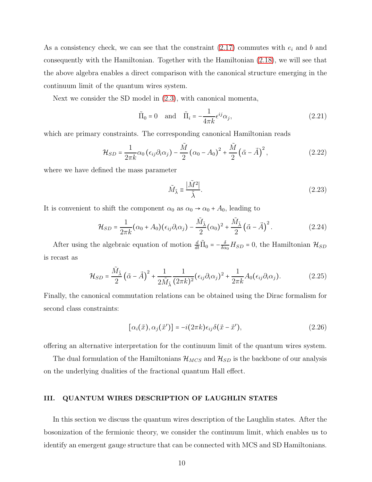As a consistency check, we can see that the constraint  $(2.17)$  commutes with  $e_i$  and b and consequently with the Hamiltonian. Together with the Hamiltonian [\(2.18\)](#page-8-3), we will see that the above algebra enables a direct comparison with the canonical structure emerging in the continuum limit of the quantum wires system.

Next we consider the SD model in [\(2.3\)](#page-6-1), with canonical momenta,

$$
\tilde{\Pi}_0 = 0 \quad \text{and} \quad \tilde{\Pi}_i = -\frac{1}{4\pi k} \epsilon^{ij} \alpha_j,
$$
\n(2.21)

which are primary constraints. The corresponding canonical Hamiltonian reads

$$
\mathcal{H}_{SD} = \frac{1}{2\pi k} \alpha_0 \left( \epsilon_{ij} \partial_i \alpha_j \right) - \frac{\tilde{M}}{2} \left( \alpha_0 - A_0 \right)^2 + \frac{\tilde{M}}{2} \left( \vec{\alpha} - \vec{A} \right)^2, \tag{2.22}
$$

where we have defined the mass parameter

$$
\tilde{M}_{\tilde{\lambda}} \equiv \frac{|\tilde{M}^2|}{\tilde{\lambda}}.\tag{2.23}
$$

It is convenient to shift the component  $\alpha_0$  as  $\alpha_0 \rightarrow \alpha_0 + A_0$ , leading to

$$
\mathcal{H}_{SD} = \frac{1}{2\pi k} (\alpha_0 + A_0)(\epsilon_{ij}\partial_i\alpha_j) - \frac{\tilde{M}_{\tilde{\lambda}}}{2} (\alpha_0)^2 + \frac{\tilde{M}_{\tilde{\lambda}}}{2} (\vec{\alpha} - \vec{A})^2.
$$
 (2.24)

After using the algebraic equation of motion  $\frac{d}{dt}\tilde{\Pi}_0 = -\frac{\delta}{\delta \alpha}$  $\frac{\partial}{\partial \alpha_0} H_{SD} = 0$ , the Hamiltonian  $\mathcal{H}_{SD}$ is recast as

$$
\mathcal{H}_{SD} = \frac{\tilde{M}_{\tilde{\lambda}}}{2} \left( \vec{\alpha} - \vec{A} \right)^2 + \frac{1}{2\tilde{M}_{\tilde{\lambda}}} \frac{1}{(2\pi k)^2} (\epsilon_{ij} \partial_i \alpha_j)^2 + \frac{1}{2\pi k} A_0 (\epsilon_{ij} \partial_i \alpha_j). \tag{2.25}
$$

Finally, the canonical commutation relations can be obtained using the Dirac formalism for second class constraints:

<span id="page-9-1"></span>
$$
[\alpha_i(\vec{x}), \alpha_j(\vec{x}')] = -i(2\pi k)\epsilon_{ij}\delta(\vec{x} - \vec{x}'),\tag{2.26}
$$

offering an alternative interpretation for the continuum limit of the quantum wires system.

The dual formulation of the Hamiltonians  $\mathcal{H}_{MCS}$  and  $\mathcal{H}_{SD}$  is the backbone of our analysis on the underlying dualities of the fractional quantum Hall effect.

# <span id="page-9-0"></span>III. QUANTUM WIRES DESCRIPTION OF LAUGHLIN STATES

In this section we discuss the quantum wires description of the Laughlin states. After the bosonization of the fermionic theory, we consider the continuum limit, which enables us to identify an emergent gauge structure that can be connected with MCS and SD Hamiltonians.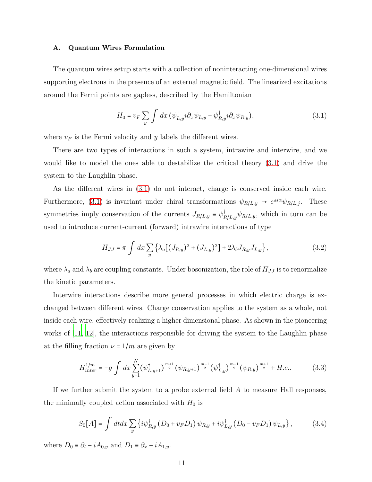#### <span id="page-10-0"></span>A. Quantum Wires Formulation

The quantum wires setup starts with a collection of noninteracting one-dimensional wires supporting electrons in the presence of an external magnetic field. The linearized excitations around the Fermi points are gapless, described by the Hamiltonian

$$
H_0 = v_F \sum_y \int dx \left( \psi_{L,y}^\dagger i \partial_x \psi_{L,y} - \psi_{R,y}^\dagger i \partial_x \psi_{R,y} \right), \tag{3.1}
$$

where  $v_F$  is the Fermi velocity and y labels the different wires.

There are two types of interactions in such a system, intrawire and interwire, and we would like to model the ones able to destabilize the critical theory [\(3.1\)](#page-13-1) and drive the system to the Laughlin phase.

As the different wires in [\(3.1\)](#page-13-1) do not interact, charge is conserved inside each wire. Furthermore, [\(3.1\)](#page-13-1) is invariant under chiral transformations  $\psi_{R/L,y} \to e^{\pm i\alpha}\psi_{R/L,j}$ . These symmetries imply conservation of the currents  $J_{R/L,y} \equiv \psi_{R/L,y}^{\dagger} \psi_{R/L,y}$ , which in turn can be used to introduce current-current (forward) intrawire interactions of type

<span id="page-10-1"></span>
$$
H_{JJ} = \pi \int dx \sum_{y} \left\{ \lambda_a \left[ (J_{R,y})^2 + (J_{L,y})^2 \right] + 2\lambda_b J_{R,y} J_{L,y} \right\},\tag{3.2}
$$

where  $\lambda_a$  and  $\lambda_b$  are coupling constants. Under bosonization, the role of  $H_{JJ}$  is to renormalize the kinetic parameters.

Interwire interactions describe more general processes in which electric charge is exchanged between different wires. Charge conservation applies to the system as a whole, not inside each wire, effectively realizing a higher dimensional phase. As shown in the pioneering works of [\[11,](#page-29-0) [12\]](#page-29-1), the interactions responsible for driving the system to the Laughlin phase at the filling fraction  $\nu = 1/m$  are given by

<span id="page-10-2"></span>
$$
H_{inter}^{1/m} = -g \int dx \sum_{y=1}^{N} (\psi_{L,y+1}^{\dagger})^{\frac{m+1}{2}} (\psi_{R,y+1})^{\frac{m-1}{2}} (\psi_{L,y}^{\dagger})^{\frac{m-1}{2}} (\psi_{R,y})^{\frac{m+1}{2}} + H.c.. \tag{3.3}
$$

If we further submit the system to a probe external field A to measure Hall responses, the minimally coupled action associated with  $H_0$  is

$$
S_0[A] = \int dt dx \sum_{y} \left\{ i \psi_{R,y}^{\dagger} \left( D_0 + v_F D_1 \right) \psi_{R,y} + i \psi_{L,y}^{\dagger} \left( D_0 - v_F D_1 \right) \psi_{L,y} \right\}, \tag{3.4}
$$

where  $D_0 \equiv \partial_t - iA_{0,y}$  and  $D_1 \equiv \partial_x - iA_{1,y}$ .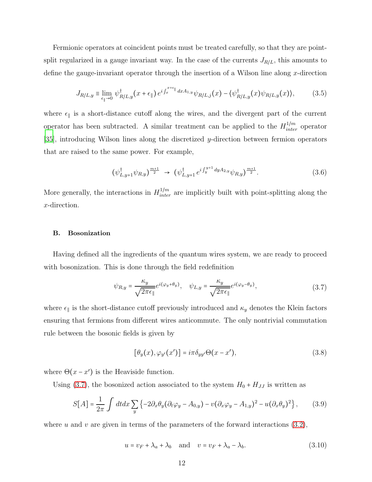Fermionic operators at coincident points must be treated carefully, so that they are pointsplit regularized in a gauge invariant way. In the case of the currents  $J_{R/L}$ , this amounts to define the gauge-invariant operator through the insertion of a Wilson line along  $x$ -direction

$$
J_{R/L,y} \equiv \lim_{\epsilon_{\parallel} \to 0} \psi_{R/L,y}^{\dagger}(x+\epsilon_{\parallel}) e^{i \int_x^{x+\epsilon_{\parallel}} dx A_{1,y}} \psi_{R/L,j}(x) - \langle \psi_{R/L,y}^{\dagger}(x) \psi_{R/L,y}(x) \rangle, \tag{3.5}
$$

where  $\epsilon_{\parallel}$  is a short-distance cutoff along the wires, and the divergent part of the current operator has been subtracted. A similar treatment can be applied to the  $H_{inter}^{1/m}$  operator [\[35\]](#page-30-6), introducing Wilson lines along the discretized y-direction between fermion operators that are raised to the same power. For example,

$$
(\psi_{L,y+1}^{\dagger} \psi_{R,y})^{\frac{m+1}{2}} \to (\psi_{L,y+1}^{\dagger} e^{i \int_{y}^{y+1} dy A_{2,y}} \psi_{R,y})^{\frac{m+1}{2}}.
$$
 (3.6)

More generally, the interactions in  $H_{inter}^{1/m}$  are implicitly built with point-splitting along the x-direction.

#### <span id="page-11-0"></span>B. Bosonization

Having defined all the ingredients of the quantum wires system, we are ready to proceed with bosonization. This is done through the field redefinition

<span id="page-11-1"></span>
$$
\psi_{R,y} = \frac{\kappa_y}{\sqrt{2\pi\epsilon_{\parallel}}}e^{i(\varphi_y + \theta_y)}, \quad \psi_{L,y} = \frac{\kappa_y}{\sqrt{2\pi\epsilon_{\parallel}}}e^{i(\varphi_y - \theta_y)}, \tag{3.7}
$$

where  $\epsilon_{\parallel}$  is the short-distance cutoff previously introduced and  $\kappa_{y}$  denotes the Klein factors ensuring that fermions from different wires anticommute. The only nontrivial commutation rule between the bosonic fields is given by

<span id="page-11-2"></span>
$$
[\theta_y(x), \varphi_{y'}(x')] = i\pi \delta_{yy'} \Theta(x - x'), \qquad (3.8)
$$

where  $\Theta(x - x')$  is the Heaviside function.

Using  $(3.7)$ , the bosonized action associated to the system  $H_0 + H_{JJ}$  is written as

$$
S[A] = \frac{1}{2\pi} \int dt dx \sum_{y} \left\{ -2\partial_x \theta_y (\partial_t \varphi_y - A_{0,y}) - v (\partial_x \varphi_y - A_{1,y})^2 - u (\partial_x \theta_y)^2 \right\},\tag{3.9}
$$

where u and v are given in terms of the parameters of the forward interactions  $(3.2)$ ,

$$
u = v_F + \lambda_a + \lambda_b \quad \text{and} \quad v = v_F + \lambda_a - \lambda_b. \tag{3.10}
$$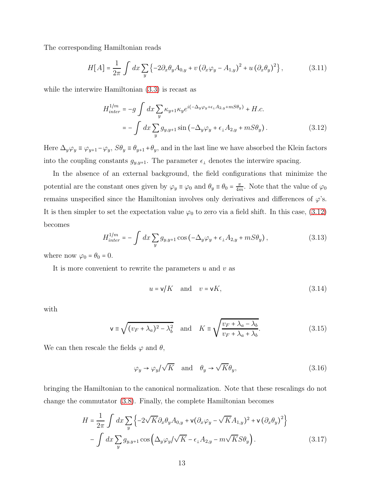The corresponding Hamiltonian reads

$$
H[A] = \frac{1}{2\pi} \int dx \sum_{y} \left\{ -2\partial_x \theta_y A_{0,y} + v \left( \partial_x \varphi_y - A_{1,y} \right)^2 + u \left( \partial_x \theta_y \right)^2 \right\},\tag{3.11}
$$

while the interwire Hamiltonian [\(3.3\)](#page-10-2) is recast as

<span id="page-12-0"></span>
$$
H_{inter}^{1/m} = -g \int dx \sum_{y} \kappa_{y+1} \kappa_{y} e^{i(-\Delta_y \varphi_y + \epsilon_{\perp} A_{2,y} + mS\theta_y)} + H.c.
$$
  

$$
= -\int dx \sum_{y} g_{y,y+1} \sin(-\Delta_y \varphi_y + \epsilon_{\perp} A_{2,y} + mS\theta_y).
$$
 (3.12)

Here  $\Delta_y \varphi_y \equiv \varphi_{y+1} - \varphi_y$ ,  $S\theta_y \equiv \theta_{y+1} + \theta_y$ , and in the last line we have absorbed the Klein factors into the coupling constants  $g_{y,y+1}$ . The parameter  $\epsilon_1$  denotes the interwire spacing.

In the absence of an external background, the field configurations that minimize the potential are the constant ones given by  $\varphi_y \equiv \varphi_0$  and  $\theta_y \equiv \theta_0 = \frac{\pi}{4n}$  $\frac{\pi}{4m}$ . Note that the value of  $\varphi_0$ remains unspecified since the Hamiltonian involves only derivatives and differences of  $\varphi$ 's. It is then simpler to set the expectation value  $\varphi_0$  to zero via a field shift. In this case, [\(3.12\)](#page-12-0) becomes

$$
H_{inter}^{1/m} = -\int dx \sum_{y} g_{y,y+1} \cos \left(-\Delta_y \varphi_y + \epsilon_\perp A_{2,y} + mS\theta_y\right),\tag{3.13}
$$

where now  $\varphi_0 = \theta_0 = 0$ .

It is more convenient to rewrite the parameters  $u$  and  $v$  as

$$
u = \mathsf{v}/K \quad \text{and} \quad v = \mathsf{v}/K,\tag{3.14}
$$

with

<span id="page-12-2"></span>
$$
\mathbf{v} \equiv \sqrt{(v_F + \lambda_a)^2 - \lambda_b^2} \quad \text{and} \quad K \equiv \sqrt{\frac{v_F + \lambda_a - \lambda_b}{v_F + \lambda_a + \lambda_b}}.\tag{3.15}
$$

We can then rescale the fields  $\varphi$  and  $\theta$ ,

<span id="page-12-3"></span>
$$
\varphi_y \to \varphi_y / \sqrt{K}
$$
 and  $\theta_y \to \sqrt{K} \theta_y$ , (3.16)

bringing the Hamiltonian to the canonical normalization. Note that these rescalings do not change the commutator [\(3.8\)](#page-11-2). Finally, the complete Hamiltonian becomes

<span id="page-12-1"></span>
$$
H = \frac{1}{2\pi} \int dx \sum_{y} \left\{ -2\sqrt{K} \partial_x \theta_y A_{0,y} + \mathbf{v} (\partial_x \varphi_y - \sqrt{K} A_{1,y})^2 + \mathbf{v} (\partial_x \theta_y)^2 \right\}
$$

$$
- \int dx \sum_{y} g_{y,y+1} \cos \left( \Delta_y \varphi_y / \sqrt{K} - \epsilon_1 A_{2,y} - m \sqrt{K} S \theta_y \right). \tag{3.17}
$$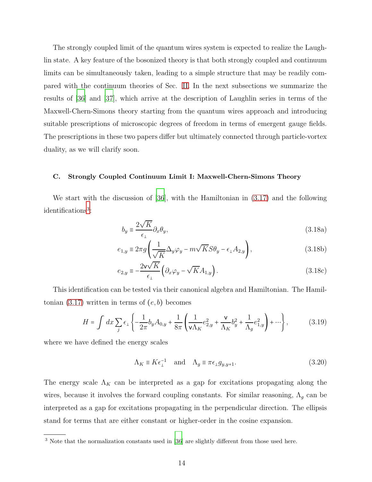The strongly coupled limit of the quantum wires system is expected to realize the Laughlin state. A key feature of the bosonized theory is that both strongly coupled and continuum limits can be simultaneously taken, leading to a simple structure that may be readily compared with the continuum theories of Sec. [II.](#page-5-0) In the next subsections we summarize the results of [\[36](#page-30-8)] and [\[37\]](#page-30-7), which arrive at the description of Laughlin series in terms of the Maxwell-Chern-Simons theory starting from the quantum wires approach and introducing suitable prescriptions of microscopic degrees of freedom in terms of emergent gauge fields. The prescriptions in these two papers differ but ultimately connected through particle-vortex duality, as we will clarify soon.

#### <span id="page-13-0"></span>C. Strongly Coupled Continuum Limit I: Maxwell-Chern-Simons Theory

We start with the discussion of [\[36](#page-30-8)], with the Hamiltonian in [\(3.17\)](#page-12-1) and the following identifications[3](#page-13-2) :

<span id="page-13-3"></span><span id="page-13-1"></span>
$$
b_y \equiv \frac{2\sqrt{K}}{\epsilon_{\perp}} \partial_x \theta_y,\tag{3.18a}
$$

$$
e_{1,y} \equiv 2\pi g \left( \frac{1}{\sqrt{K}} \Delta_y \varphi_y - m \sqrt{K} S \theta_y - \epsilon_{\perp} A_{2,y} \right), \tag{3.18b}
$$

$$
e_{2,y} \equiv -\frac{2v\sqrt{K}}{\epsilon_{\perp}} \left( \partial_x \varphi_y - \sqrt{K} A_{1,y} \right). \tag{3.18c}
$$

This identification can be tested via their canonical algebra and Hamiltonian. The Hamiltonian  $(3.17)$  written in terms of  $(e, b)$  becomes

<span id="page-13-4"></span>
$$
H = \int dx \sum_{j} \epsilon_{\perp} \left\{ -\frac{1}{2\pi} b_{y} A_{0,y} + \frac{1}{8\pi} \left( \frac{1}{\mathsf{v} \Lambda_{K}} e_{2,y}^{2} + \frac{\mathsf{v}}{\Lambda_{K}} b_{y}^{2} + \frac{1}{\Lambda_{g}} e_{1,y}^{2} \right) + \cdots \right\},\tag{3.19}
$$

where we have defined the energy scales

$$
\Lambda_K \equiv K \epsilon_1^{-1} \quad \text{and} \quad \Lambda_g \equiv \pi \epsilon_1 g_{y, y+1}.
$$
\n(3.20)

The energy scale  $\Lambda_K$  can be interpreted as a gap for excitations propagating along the wires, because it involves the forward coupling constants. For similar reasoning,  $\Lambda_g$  can be interpreted as a gap for excitations propagating in the perpendicular direction. The ellipsis stand for terms that are either constant or higher-order in the cosine expansion.

<span id="page-13-2"></span><sup>&</sup>lt;sup>3</sup> Note that the normalization constants used in [\[36](#page-30-8)] are slightly different from those used here.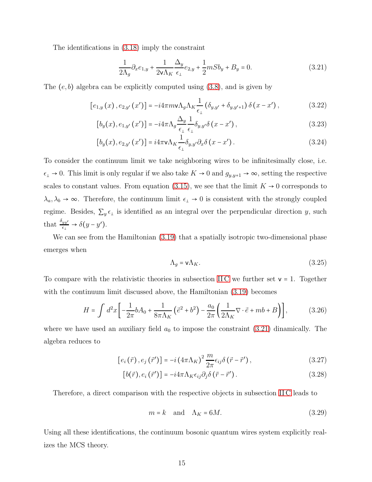The identifications in [\(3.18\)](#page-13-3) imply the constraint

<span id="page-14-0"></span>
$$
\frac{1}{2\Lambda_g}\partial_x e_{1,y} + \frac{1}{2v\Lambda_K} \frac{\Delta_y}{\epsilon_\perp} e_{2,y} + \frac{1}{2}mSb_y + B_y = 0.
$$
\n(3.21)

The  $(e, b)$  algebra can be explicitly computed using  $(3.8)$ , and is given by

$$
[e_{1,y}(x), e_{2,y'}(x')] = -i4\pi m v \Lambda_g \Lambda_K \frac{1}{\epsilon_{\perp}} (\delta_{y,y'} + \delta_{y,y'+1}) \delta(x - x'), \qquad (3.22)
$$

$$
[b_y(x), e_{1,y'}(x')] = -i4\pi \Lambda_g \frac{\Delta_y}{\epsilon_\perp} \frac{1}{\epsilon_\perp} \delta_{y,y'} \delta(x - x'), \qquad (3.23)
$$

$$
[b_y(x), e_{2,y'}(x')] = i4\pi \mathbf{v} \Lambda_K \frac{1}{\epsilon_{\perp}} \delta_{y,y'} \partial_x \delta(x - x'). \qquad (3.24)
$$

To consider the continuum limit we take neighboring wires to be infinitesimally close, i.e.  $\epsilon_{\perp} \to 0$ . This limit is only regular if we also take  $K \to 0$  and  $g_{y,y+1} \to \infty$ , setting the respective scales to constant values. From equation [\(3.15\)](#page-12-2), we see that the limit  $K \to 0$  corresponds to  $\lambda_a, \lambda_b \to \infty$ . Therefore, the continuum limit  $\epsilon_{\perp} \to 0$  is consistent with the strongly coupled regime. Besides,  $\sum_{y} \epsilon_{\perp}$  is identified as an integral over the perpendicular direction y, such that  $\frac{\delta_{yy'}}{\epsilon_{\perp}} \to \delta(y-y').$ 

<span id="page-14-1"></span>We can see from the Hamiltonian  $(3.19)$  that a spatially isotropic two-dimensional phase emerges when

$$
\Lambda_g = \mathsf{v}\Lambda_K. \tag{3.25}
$$

To compare with the relativistic theories in subsection IIC we further set  $v = 1$ . Together with the continuum limit discussed above, the Hamiltonian [\(3.19\)](#page-13-4) becomes

<span id="page-14-3"></span>
$$
H = \int d^2x \left[ -\frac{1}{2\pi} bA_0 + \frac{1}{8\pi\Lambda_K} \left( \vec{e}^2 + b^2 \right) - \frac{a_0}{2\pi} \left( \frac{1}{2\Lambda_K} \nabla \cdot \vec{e} + mb + B \right) \right],\tag{3.26}
$$

where we have used an auxiliary field  $a_0$  to impose the constraint [\(3.21\)](#page-14-0) dinamically. The algebra reduces to

<span id="page-14-4"></span>
$$
[e_i(\vec{r}), e_j(\vec{r}')] = -i(4\pi\Lambda_K)^2 \frac{m}{2\pi} \epsilon_{ij} \delta(\vec{r} - \vec{r}'), \qquad (3.27)
$$

$$
[b(\vec{r}), e_i(\vec{r}')] = -i4\pi \Lambda_K \epsilon_{ij} \partial_j \delta(\vec{r} - \vec{r}'). \qquad (3.28)
$$

Therefore, a direct comparison with the respective objects in subsection [II C](#page-8-0) leads to

<span id="page-14-2"></span>
$$
m = k \quad \text{and} \quad \Lambda_K = 6M. \tag{3.29}
$$

Using all these identifications, the continuum bosonic quantum wires system explicitly realizes the MCS theory.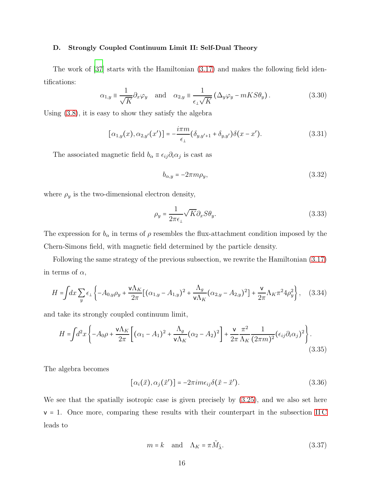#### <span id="page-15-0"></span>D. Strongly Coupled Continuum Limit II: Self-Dual Theory

The work of [\[37\]](#page-30-7) starts with the Hamiltonian [\(3.17\)](#page-12-1) and makes the following field identifications:

$$
\alpha_{1,y} \equiv \frac{1}{\sqrt{K}} \partial_x \varphi_y \quad \text{and} \quad \alpha_{2,y} \equiv \frac{1}{\epsilon_1 \sqrt{K}} \left( \Delta_y \varphi_y - mKS \theta_y \right). \tag{3.30}
$$

Using [\(3.8\)](#page-11-2), it is easy to show they satisfy the algebra

$$
[\alpha_{1,y}(x), \alpha_{2,y'}(x')] = -\frac{i\pi m}{\epsilon_{\perp}} (\delta_{y,y'+1} + \delta_{y,y'}) \delta(x - x'). \tag{3.31}
$$

The associated magnetic field  $b_{\alpha} \equiv \epsilon_{ij} \partial_i \alpha_j$  is cast as

$$
b_{\alpha,y} = -2\pi m \rho_y,\tag{3.32}
$$

where  $\rho_y$  is the two-dimensional electron density,

$$
\rho_y = \frac{1}{2\pi\epsilon_\perp} \sqrt{K} \partial_x S \theta_y. \tag{3.33}
$$

The expression for  $b_{\alpha}$  in terms of  $\rho$  resembles the flux-attachment condition imposed by the Chern-Simons field, with magnetic field determined by the particle density.

Following the same strategy of the previous subsection, we rewrite the Hamiltonian [\(3.17\)](#page-12-1) in terms of  $\alpha$ ,

$$
H = \int dx \sum_{y} \epsilon_{\perp} \left\{ -A_{0,y}\rho_{y} + \frac{\mathsf{v}\Lambda_{K}}{2\pi} \left[ (\alpha_{1,y} - A_{1,y})^{2} + \frac{\Lambda_{g}}{\mathsf{v}\Lambda_{K}} (\alpha_{2,y} - A_{2,y})^{2} \right] + \frac{\mathsf{v}}{2\pi} \Lambda_{K} \pi^{2} 4\rho_{y}^{2} \right\}, \quad (3.34)
$$

and take its strongly coupled continuum limit,

$$
H = \int d^2x \left\{ -A_0 \rho + \frac{\mathsf{v}\Lambda_K}{2\pi} \left[ (\alpha_1 - A_1)^2 + \frac{\Lambda_g}{\mathsf{v}\Lambda_K} (\alpha_2 - A_2)^2 \right] + \frac{\mathsf{v}}{2\pi} \frac{\pi^2}{\Lambda_K} \frac{1}{(2\pi m)^2} (\epsilon_{ij} \partial_i \alpha_j)^2 \right\}.
$$
\n(3.35)

The algebra becomes

$$
[\alpha_i(\vec{x}), \alpha_j(\vec{x}')] = -2\pi i m \epsilon_{ij} \delta(\vec{x} - \vec{x}'). \qquad (3.36)
$$

We see that the spatially isotropic case is given precisely by [\(3.25\)](#page-14-1), and we also set here  $v = 1$ . Once more, comparing these results with their counterpart in the subsection IIC leads to

<span id="page-15-1"></span>
$$
m = k \quad \text{and} \quad \Lambda_K = \pi \tilde{M}_{\tilde{\lambda}}.
$$
 (3.37)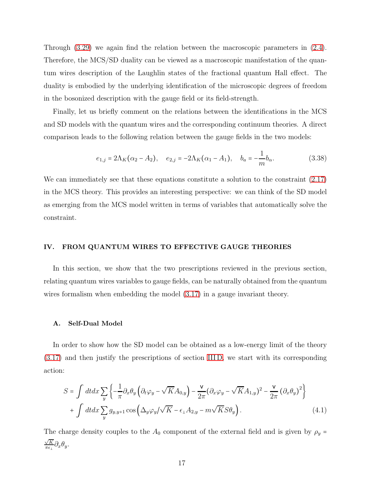Through [\(3.29\)](#page-14-2) we again find the relation between the macroscopic parameters in [\(2.4\)](#page-6-2). Therefore, the MCS/SD duality can be viewed as a macroscopic manifestation of the quantum wires description of the Laughlin states of the fractional quantum Hall effect. The duality is embodied by the underlying identification of the microscopic degrees of freedom in the bosonized description with the gauge field or its field-strength.

Finally, let us briefly comment on the relations between the identifications in the MCS and SD models with the quantum wires and the corresponding continuum theories. A direct comparison leads to the following relation between the gauge fields in the two models:

<span id="page-16-3"></span>
$$
e_{1,j} = 2\Lambda_K(\alpha_2 - A_2), \quad e_{2,j} = -2\Lambda_K(\alpha_1 - A_1), \quad b_a = -\frac{1}{m}b_\alpha.
$$
 (3.38)

We can immediately see that these equations constitute a solution to the constraint [\(2.17\)](#page-8-2) in the MCS theory. This provides an interesting perspective: we can think of the SD model as emerging from the MCS model written in terms of variables that automatically solve the constraint.

#### <span id="page-16-0"></span>IV. FROM QUANTUM WIRES TO EFFECTIVE GAUGE THEORIES

In this section, we show that the two prescriptions reviewed in the previous section, relating quantum wires variables to gauge fields, can be naturally obtained from the quantum wires formalism when embedding the model [\(3.17\)](#page-12-1) in a gauge invariant theory.

#### <span id="page-16-1"></span>A. Self-Dual Model

In order to show how the SD model can be obtained as a low-energy limit of the theory [\(3.17\)](#page-12-1) and then justify the prescriptions of section [III D,](#page-15-0) we start with its corresponding action:

<span id="page-16-2"></span>
$$
S = \int dt dx \sum_{y} \left\{ -\frac{1}{\pi} \partial_x \theta_y \left( \partial_t \varphi_y - \sqrt{K} A_{0,y} \right) - \frac{\nu}{2\pi} (\partial_x \varphi_y - \sqrt{K} A_{1,y})^2 - \frac{\nu}{2\pi} (\partial_x \theta_y)^2 \right\} + \int dt dx \sum_{y} g_{y,y+1} \cos \left( \Delta_y \varphi_y / \sqrt{K} - \epsilon_{\perp} A_{2,y} - m \sqrt{K} S \theta_y \right).
$$
 (4.1)

The charge density couples to the  $A_0$  component of the external field and is given by  $\rho_y =$  $\sqrt{K}$  $\frac{\sqrt{K}}{\pi\epsilon_{\perp}}\partial_x\theta_y.$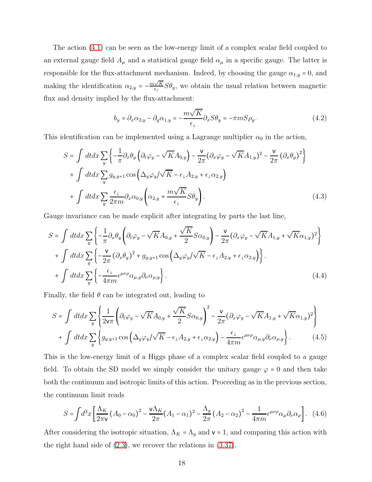The action [\(4.1\)](#page-16-2) can be seen as the low-energy limit of a complex scalar field coupled to an external gauge field  $A_\mu$  and a statistical gauge field  $\alpha_\mu$  in a specific gauge. The latter is responsible for the flux-attachment mechanism. Indeed, by choosing the gauge  $\alpha_{1,y} = 0$ , and making the identification  $\alpha_{2,y} = -\frac{m\sqrt{K}}{\epsilon_0}$  $\frac{\sqrt{K}}{\epsilon_{\perp}} S \theta_y$ , we obtain the usual relation between magnetic flux and density implied by the flux-attachment:

<span id="page-17-3"></span>
$$
b_y = \partial_x \alpha_{2,y} - \partial_y \alpha_{1,y} = -\frac{m\sqrt{K}}{\epsilon_1} \partial_x S \theta_y = -\pi m S \rho_y.
$$
\n(4.2)

This identification can be implemented using a Lagrange multiplier  $\alpha_0$  in the action,

$$
S = \int dt dx \sum_{y} \left\{ -\frac{1}{\pi} \partial_x \theta_y \left( \partial_t \varphi_y - \sqrt{K} A_{0,y} \right) - \frac{\nu}{2\pi} (\partial_x \varphi_y - \sqrt{K} A_{1,y})^2 - \frac{\nu}{2\pi} (\partial_x \theta_y)^2 \right\} + \int dt dx \sum_{y} g_{y,y+1} \cos \left( \Delta_y \varphi_y / \sqrt{K} - \epsilon_{\perp} A_{2,y} + \epsilon_{\perp} \alpha_{2,y} \right) + \int dt dx \sum_{y} \frac{\epsilon_{\perp}}{2\pi m} \partial_x \alpha_{0,y} \left( \alpha_{2,y} + \frac{m\sqrt{K}}{\epsilon_{\perp}} S \theta_y \right).
$$
(4.3)

Gauge invariance can be made explicit after integrating by parts the last line,

<span id="page-17-0"></span>
$$
S = \int dt dx \sum_{y} \left\{ -\frac{1}{\pi} \partial_x \theta_y \left( \partial_t \varphi_y - \sqrt{K} A_{0,y} + \frac{\sqrt{K}}{2} S \alpha_{0,y} \right) - \frac{\nu}{2\pi} (\partial_x \varphi_y - \sqrt{K} A_{1,y} + \sqrt{K} \alpha_{1,y})^2 \right\} + \int dt dx \sum_{y} \left\{ -\frac{\nu}{2\pi} (\partial_x \theta_y)^2 + g_{y,y+1} \cos \left( \Delta_y \varphi_y / \sqrt{K} - \epsilon_{\perp} A_{2,y} + \epsilon_{\perp} \alpha_{2,y} \right) \right\}.
$$
  
+ 
$$
\int dt dx \sum_{y} \left\{ -\frac{\epsilon_{\perp}}{4\pi m} \epsilon^{\mu\nu\rho} \alpha_{\mu,y} \partial_{\nu} \alpha_{\rho,y} \right\}.
$$
(4.4)

Finally, the field  $\theta$  can be integrated out, leading to

<span id="page-17-1"></span>
$$
S = \int dt dx \sum_{y} \left\{ \frac{1}{2v\pi} \left( \partial_t \varphi_y - \sqrt{K} A_{0,y} + \frac{\sqrt{K}}{2} S \alpha_{0,y} \right)^2 - \frac{v}{2\pi} (\partial_x \varphi_y - \sqrt{K} A_{1,y} + \sqrt{K} \alpha_{1,y})^2 \right\} + \int dt dx \sum_{y} \left\{ g_{y,y+1} \cos \left( \Delta_y \varphi_y / \sqrt{K} - \epsilon_1 A_{2,y} + \epsilon_1 \alpha_{2,y} \right) - \frac{\epsilon_1}{4\pi m} \epsilon^{\mu\nu\rho} \alpha_{\mu,y} \partial_\nu \alpha_{\rho,y} \right\}.
$$
 (4.5)

This is the low-energy limit of a Higgs phase of a complex scalar field coupled to a gauge field. To obtain the SD model we simply consider the unitary gauge  $\varphi = 0$  and then take both the continuum and isotropic limits of this action. Proceeding as in the previous section, the continuum limit reads

<span id="page-17-2"></span>
$$
S = \int d^3x \left[ \frac{\Lambda_K}{2\pi \mathbf{v}} \left( A_0 - \alpha_0 \right)^2 - \frac{\mathbf{v} \Lambda_K}{2\pi} \left( A_1 - \alpha_1 \right)^2 - \frac{\Lambda_g}{2\pi} \left( A_2 - \alpha_2 \right)^2 - \frac{1}{4\pi m} \epsilon^{\mu\nu\rho} \alpha_\mu \partial_\nu \alpha_\rho \right]. \tag{4.6}
$$

After considering the isotropic situation,  $\Lambda_K = \Lambda_g$  and  $\mathsf{v} = 1$ , and comparing this action with the right hand side of [\(2.3\)](#page-6-1), we recover the relations in [\(3.37\)](#page-15-1).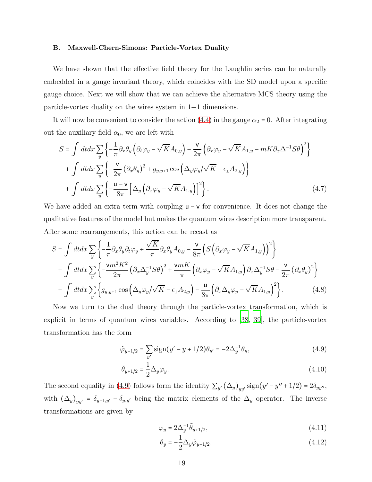#### <span id="page-18-0"></span>B. Maxwell-Chern-Simons: Particle-Vortex Duality

We have shown that the effective field theory for the Laughlin series can be naturally embedded in a gauge invariant theory, which coincides with the SD model upon a specific gauge choice. Next we will show that we can achieve the alternative MCS theory using the particle-vortex duality on the wires system in 1+1 dimensions.

It will now be convenient to consider the action [\(4.4\)](#page-17-0) in the gauge  $\alpha_2 = 0$ . After integrating out the auxiliary field  $\alpha_0$ , we are left with

<span id="page-18-3"></span>
$$
S = \int dt dx \sum_{y} \left\{ -\frac{1}{\pi} \partial_x \theta_y \left( \partial_t \varphi_y - \sqrt{K} A_{0,y} \right) - \frac{\nu}{2\pi} \left( \partial_x \varphi_y - \sqrt{K} A_{1,y} - mK \partial_x \Delta^{-1} S \theta \right)^2 \right\} + \int dt dx \sum_{y} \left\{ -\frac{\nu}{2\pi} \left( \partial_x \theta_y \right)^2 + g_{y,y+1} \cos \left( \Delta_y \varphi_y / \sqrt{K} - \epsilon_{\perp} A_{2,y} \right) \right\} + \int dt dx \sum_{y} \left\{ -\frac{\nu - \nu}{8\pi} \left[ \Delta_y \left( \partial_x \varphi_y - \sqrt{K} A_{1,y} \right) \right]^2 \right\}.
$$
 (4.7)

We have added an extra term with coupling  $u - v$  for convenience. It does not change the qualitative features of the model but makes the quantum wires description more transparent. After some rearrangements, this action can be recast as

<span id="page-18-2"></span>
$$
S = \int dt dx \sum_{y} \left\{ -\frac{1}{\pi} \partial_x \theta_y \partial_t \varphi_y + \frac{\sqrt{K}}{\pi} \partial_x \theta_y A_{0,y} - \frac{\mathsf{v}}{8\pi} \left( S \left( \partial_x \varphi_y - \sqrt{K} A_{1,y} \right) \right)^2 \right\} + \int dt dx \sum_{y} \left\{ -\frac{\mathsf{v} m^2 K^2}{2\pi} \left( \partial_x \Delta_y^{-1} S \theta \right)^2 + \frac{\mathsf{v} m K}{\pi} \left( \partial_x \varphi_y - \sqrt{K} A_{1,y} \right) \partial_x \Delta_y^{-1} S \theta - \frac{\mathsf{v}}{2\pi} \left( \partial_x \theta_y \right)^2 \right\} + \int dt dx \sum_{y} \left\{ g_{y,y+1} \cos \left( \Delta_y \varphi_y / \sqrt{K} - \epsilon_1 A_{2,y} \right) - \frac{\mathsf{u}}{8\pi} \left( \partial_x \Delta_y \varphi_y - \sqrt{K} A_{1,y} \right)^2 \right\}.
$$
 (4.8)

Now we turn to the dual theory through the particle-vortex transformation, which is explicit in terms of quantum wires variables. According to [\[38,](#page-31-0) [39](#page-31-1)], the particle-vortex transformation has the form

<span id="page-18-1"></span>
$$
\tilde{\varphi}_{y-1/2} = \sum_{y'} \text{sign}(y' - y + 1/2)\theta_{y'} = -2\Delta_y^{-1}\theta_y,\tag{4.9}
$$

$$
\tilde{\theta}_{y+1/2} = \frac{1}{2} \Delta_y \varphi_y.
$$
\n(4.10)

The second equality in [\(4.9\)](#page-18-1) follows form the identity  $\sum_{y'} (\Delta_y)_{yy'}$  sign $(y'-y''+1/2) = 2\delta_{yy''}$ , with  $(\Delta_y)_{yy'} = \delta_{y+1,y'} - \delta_{y,y'}$  being the matrix elements of the  $\Delta_y$  operator. The inverse transformations are given by

$$
\varphi_y = 2\Delta_y^{-1} \tilde{\theta}_{y+1/2},\tag{4.11}
$$

$$
\theta_y = -\frac{1}{2} \Delta_y \tilde{\varphi}_{y-1/2}.
$$
\n(4.12)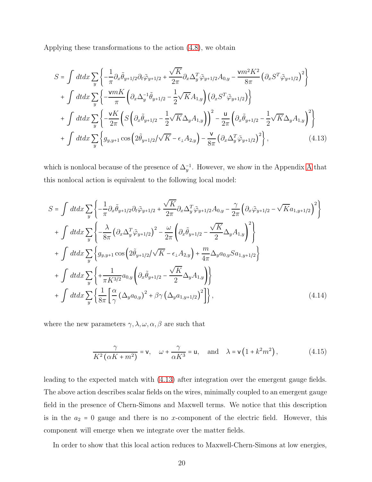Applying these transformations to the action [\(4.8\)](#page-18-2), we obtain

<span id="page-19-0"></span>
$$
S = \int dt dx \sum_{y} \left\{ -\frac{1}{\pi} \partial_x \tilde{\theta}_{y+1/2} \partial_t \tilde{\varphi}_{y+1/2} + \frac{\sqrt{K}}{2\pi} \partial_x \Delta_y^T \tilde{\varphi}_{y+1/2} A_{0,y} - \frac{\nu m^2 K^2}{8\pi} \left( \partial_x S^T \tilde{\varphi}_{y+1/2} \right)^2 \right\} + \int dt dx \sum_{y} \left\{ -\frac{\nu m K}{\pi} \left( \partial_x \Delta_y^{-1} \tilde{\theta}_{y+1/2} - \frac{1}{2} \sqrt{K} A_{1,y} \right) \left( \partial_x S^T \tilde{\varphi}_{y+1/2} \right) \right\} + \int dt dx \sum_{y} \left\{ -\frac{\nu K}{2\pi} \left( S \left( \partial_x \tilde{\theta}_{y+1/2} - \frac{1}{2} \sqrt{K} \Delta_y A_{1,y} \right) \right)^2 - \frac{\mu}{2\pi} \left( \partial_x \tilde{\theta}_{y+1/2} - \frac{1}{2} \sqrt{K} \Delta_y A_{1,y} \right)^2 \right\} + \int dt dx \sum_{y} \left\{ g_{y,y+1} \cos \left( 2 \tilde{\theta}_{y+1/2} / \sqrt{K} - \epsilon_{\perp} A_{2,y} \right) - \frac{\nu}{8\pi} \left( \partial_x \Delta_y^T \tilde{\varphi}_{y+1/2} \right)^2 \right\},
$$
(4.13)

which is nonlocal because of the presence of  $\Delta_y^{-1}$ . However, we show in the [A](#page-26-1)ppendix A that this nonlocal action is equivalent to the following local model:

<span id="page-19-2"></span>
$$
S = \int dt dx \sum_{y} \left\{ -\frac{1}{\pi} \partial_x \tilde{\theta}_{y+1/2} \partial_t \tilde{\varphi}_{y+1/2} + \frac{\sqrt{K}}{2\pi} \partial_x \Delta_y^T \tilde{\varphi}_{y+1/2} A_{0,y} - \frac{\gamma}{2\pi} \left( \partial_x \tilde{\varphi}_{y+1/2} - \sqrt{K} a_{1,y+1/2} \right)^2 \right\}
$$
  
+ 
$$
\int dt dx \sum_{y} \left\{ -\frac{\lambda}{8\pi} \left( \partial_x \Delta_y^T \tilde{\varphi}_{y+1/2} \right)^2 - \frac{\omega}{2\pi} \left( \partial_x \tilde{\theta}_{y+1/2} - \frac{\sqrt{K}}{2} \Delta_y A_{1,y} \right)^2 \right\}
$$
  
+ 
$$
\int dt dx \sum_{y} \left\{ g_{y,y+1} \cos \left( 2 \tilde{\theta}_{y+1/2} / \sqrt{K} - \epsilon_{\perp} A_{2,y} \right) + \frac{m}{4\pi} \Delta_y a_{0,y} S a_{1,y+1/2} \right\}
$$
  
+ 
$$
\int dt dx \sum_{y} \left\{ + \frac{1}{\pi K^{3/2}} a_{0,y} \left( \partial_x \tilde{\theta}_{y+1/2} - \frac{\sqrt{K}}{2} \Delta_y A_{1,y} \right) \right\}
$$
  
+ 
$$
\int dt dx \sum_{y} \left\{ \frac{1}{8\pi} \left[ \frac{\alpha}{\gamma} \left( \Delta_y a_{0,y} \right)^2 + \beta \gamma \left( \Delta_y a_{1,y+1/2} \right)^2 \right] \right\},
$$
(4.14)

where the new parameters  $\gamma, \lambda, \omega, \alpha, \beta$  are such that

<span id="page-19-1"></span>
$$
\frac{\gamma}{K^2(\alpha K + m^2)} = \mathbf{v}, \quad \omega + \frac{\gamma}{\alpha K^3} = \mathbf{u}, \quad \text{and} \quad \lambda = \mathbf{v} \left( 1 + k^2 m^2 \right), \tag{4.15}
$$

leading to the expected match with [\(4.13\)](#page-19-0) after integration over the emergent gauge fields. The above action describes scalar fields on the wires, minimally coupled to an emergent gauge field in the presence of Chern-Simons and Maxwell terms. We notice that this description is in the  $a_2 = 0$  gauge and there is no x-component of the electric field. However, this component will emerge when we integrate over the matter fields.

In order to show that this local action reduces to Maxwell-Chern-Simons at low energies,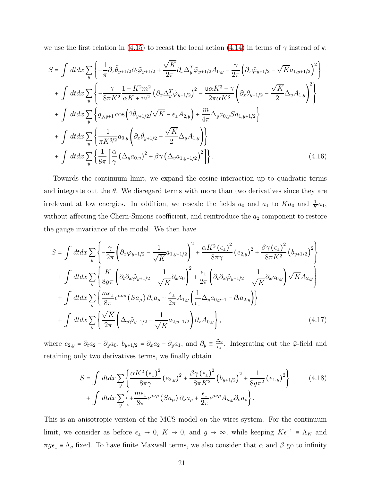we use the first relation in [\(4.15\)](#page-19-1) to recast the local action [\(4.14\)](#page-19-2) in terms of  $\gamma$  instead of v:

$$
S = \int dt dx \sum_{y} \left\{ -\frac{1}{\pi} \partial_{x} \tilde{\theta}_{y+1/2} \partial_{t} \tilde{\varphi}_{y+1/2} + \frac{\sqrt{K}}{2\pi} \partial_{x} \Delta_{y}^{T} \tilde{\varphi}_{y+1/2} A_{0,y} - \frac{\gamma}{2\pi} \left( \partial_{x} \tilde{\varphi}_{y+1/2} - \sqrt{K} a_{1,y+1/2} \right)^{2} \right\} + \int dt dx \sum_{y} \left\{ -\frac{\gamma}{8\pi K^{2}} \frac{1 - K^{2} m^{2}}{\alpha K + m^{2}} \left( \partial_{x} \Delta_{y}^{T} \tilde{\varphi}_{y+1/2} \right)^{2} - \frac{u \alpha K^{3} - \gamma}{2\pi \alpha K^{3}} \left( \partial_{x} \tilde{\theta}_{y+1/2} - \frac{\sqrt{K}}{2} \Delta_{y} A_{1,y} \right)^{2} \right\} + \int dt dx \sum_{y} \left\{ g_{y,y+1} \cos \left( 2 \tilde{\theta}_{y+1/2} / \sqrt{K} - \epsilon_{\perp} A_{2,y} \right) + \frac{m}{4\pi} \Delta_{y} a_{0,y} S a_{1,y+1/2} \right\} + \int dt dx \sum_{y} \left\{ \frac{1}{\pi K^{3/2}} a_{0,y} \left( \partial_{x} \tilde{\theta}_{y+1/2} - \frac{\sqrt{K}}{2} \Delta_{y} A_{1,y} \right) \right\} + \int dt dx \sum_{y} \left\{ \frac{1}{8\pi} \left[ \frac{\alpha}{\gamma} \left( \Delta_{y} a_{0,y} \right)^{2} + \beta \gamma \left( \Delta_{y} a_{1,y+1/2} \right)^{2} \right] \right\}.
$$
 (4.16)

Towards the continuum limit, we expand the cosine interaction up to quadratic terms and integrate out the  $\theta$ . We disregard terms with more than two derivatives since they are irrelevant at low energies. In addition, we rescale the fields  $a_0$  and  $a_1$  to  $Ka_0$  and  $\frac{1}{K}a_1$ , without affecting the Chern-Simons coefficient, and reintroduce the  $a_2$  component to restore the gauge invariance of the model. We then have

$$
S = \int dt dx \sum_{y} \left\{ -\frac{\gamma}{2\pi} \left( \partial_x \tilde{\varphi}_{y+1/2} - \frac{1}{\sqrt{K}} a_{1,y+1/2} \right)^2 + \frac{\alpha K^2 (\epsilon_{\perp})^2}{8\pi \gamma} (e_{2,y})^2 + \frac{\beta \gamma (\epsilon_{\perp})^2}{8\pi K^2} (b_{y+1/2})^2 \right\} + \int dt dx \sum_{y} \left\{ \frac{K}{8g\pi} \left( \partial_t \partial_x \tilde{\varphi}_{y+1/2} - \frac{1}{\sqrt{K}} \partial_x a_0 \right)^2 + \frac{\epsilon_{\perp}}{2\pi} \left( \partial_t \partial_x \tilde{\varphi}_{y+1/2} - \frac{1}{\sqrt{K}} \partial_x a_{0,y} \right) \sqrt{K} A_{2,y} \right\} + \int dt dx \sum_{y} \left\{ \frac{m\epsilon_{\perp}}{8\pi} \epsilon^{\mu\nu\rho} (Sa_{\mu}) \partial_{\nu} a_{\rho} + \frac{\epsilon_{\perp}}{2\pi} A_{1,y} \left( \frac{1}{\epsilon_{\perp}} \Delta_y a_{0,y-1} - \partial_t a_{2,y} \right) \right\} + \int dt dx \sum_{y} \left\{ \frac{\sqrt{K}}{2\pi} \left( \Delta_y \tilde{\varphi}_{y-1/2} - \frac{1}{\sqrt{K}} a_{2,y-1/2} \right) \partial_x A_{0,y} \right\},
$$
(4.17)

where  $e_{2,y} = \partial_t a_2 - \partial_y a_0$ ,  $b_{y+1/2} = \partial_x a_2 - \partial_y a_1$ , and  $\partial_y \equiv \frac{\Delta_y}{\epsilon_1}$  $\frac{\Delta y}{\epsilon_1}$ . Integrating out the  $\tilde{\varphi}$ -field and retaining only two derivatives terms, we finally obtain

$$
S = \int dt dx \sum_{y} \left\{ \frac{\alpha K^2 (\epsilon_{\perp})^2}{8\pi \gamma} (e_{2,y})^2 + \frac{\beta \gamma (\epsilon_{\perp})^2}{8\pi K^2} (b_{y+1/2})^2 + \frac{1}{8g\pi^2} (e_{1,y})^2 \right\} \qquad (4.18)
$$

$$
+ \int dt dx \sum_{y} \left\{ + \frac{m\epsilon_{\perp}}{8\pi} \epsilon^{\mu\nu\rho} (Sa_{\mu}) \partial_{\nu} a_{\rho} + \frac{\epsilon_{\perp}}{2\pi} \epsilon^{\mu\nu\rho} A_{\mu,y} \partial_{\nu} a_{\rho} \right\}.
$$

This is an anisotropic version of the MCS model on the wires system. For the continuum limit, we consider as before  $\epsilon_{\perp} \to 0$ ,  $K \to 0$ , and  $g \to \infty$ , while keeping  $K \epsilon_{\perp}^{-1} \equiv \Lambda_K$  and  $\pi g \epsilon_{\perp} \equiv \Lambda_g$  fixed. To have finite Maxwell terms, we also consider that  $\alpha$  and  $\beta$  go to infinity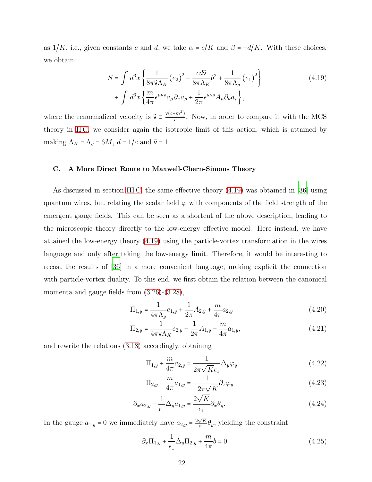as  $1/K$ , i.e., given constants c and d, we take  $\alpha = c/K$  and  $\beta = -d/K$ . With these choices, we obtain

<span id="page-21-1"></span>
$$
S = \int d^3x \left\{ \frac{1}{8\pi \tilde{v} \Lambda_K} (e_2)^2 - \frac{c d\tilde{v}}{8\pi \Lambda_K} b^2 + \frac{1}{8\pi \Lambda_g} (e_1)^2 \right\} + \int d^3x \left\{ \frac{m}{4\pi} \epsilon^{\mu\nu\rho} a_\mu \partial_\nu a_\rho + \frac{1}{2\pi} \epsilon^{\mu\nu\rho} A_\mu \partial_\nu a_\rho \right\},
$$
\n(4.19)

where the renormalized velocity is  $\tilde{\mathbf{v}} \equiv \frac{\mathbf{v}(c+m^2)}{c}$  $\frac{cm}{c}$ . Now, in order to compare it with the MCS theory in [II C,](#page-8-0) we consider again the isotropic limit of this action, which is attained by making  $\Lambda_K = \Lambda_g = 6M$ ,  $d = 1/c$  and  $\tilde{v} = 1$ .

#### <span id="page-21-0"></span>C. A More Direct Route to Maxwell-Chern-Simons Theory

As discussed in section [III C,](#page-13-0) the same effective theory [\(4.19\)](#page-21-1) was obtained in [\[36](#page-30-8)] using quantum wires, but relating the scalar field  $\varphi$  with components of the field strength of the emergent gauge fields. This can be seen as a shortcut of the above description, leading to the microscopic theory directly to the low-energy effective model. Here instead, we have attained the low-energy theory [\(4.19\)](#page-21-1) using the particle-vortex transformation in the wires language and only after taking the low-energy limit. Therefore, it would be interesting to recast the results of [\[36\]](#page-30-8) in a more convenient language, making explicit the connection with particle-vortex duality. To this end, we first obtain the relation between the canonical momenta and gauge fields from  $(3.26)-(3.28)$  $(3.26)-(3.28)$ ,

$$
\Pi_{1,y} = \frac{1}{4\pi\Lambda_g} e_{1,y} + \frac{1}{2\pi} A_{2,y} + \frac{m}{4\pi} a_{2,y}
$$
\n(4.20)

$$
\Pi_{2,y} = \frac{1}{4\pi\mathbf{v}\Lambda_K}e_{2,y} - \frac{1}{2\pi}A_{1,y} - \frac{m}{4\pi}a_{1,y},\tag{4.21}
$$

and rewrite the relations [\(3.18\)](#page-13-3) accordingly, obtaining

<span id="page-21-2"></span>
$$
\Pi_{1,y} + \frac{m}{4\pi} a_{2,y} = \frac{1}{2\pi\sqrt{K}\epsilon_{\perp}} \Delta_y \varphi_y \tag{4.22}
$$

$$
\Pi_{2,y} - \frac{m}{4\pi} a_{1,y} = -\frac{1}{2\pi\sqrt{K}} \partial_x \varphi_y
$$
\n(4.23)

$$
\partial_x a_{2,y} - \frac{1}{\epsilon_\perp} \Delta_y a_{1,y} = \frac{2\sqrt{K}}{\epsilon_\perp} \partial_x \theta_y. \tag{4.24}
$$

In the gauge  $a_{1,y} = 0$  we immediately have  $a_{2,y} = \frac{2\sqrt{K}}{\epsilon}$  $\frac{\sqrt{K}}{\epsilon_1} \theta_y$ , yielding the constraint

$$
\partial_x \Pi_{1,y} + \frac{1}{\epsilon_{\perp}} \Delta_y \Pi_{2,y} + \frac{m}{4\pi} b = 0.
$$
 (4.25)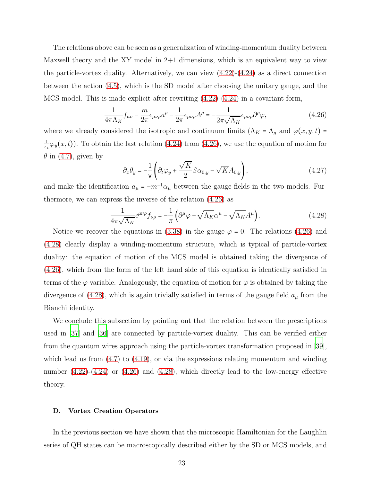The relations above can be seen as a generalization of winding-momentum duality between Maxwell theory and the XY model in  $2+1$  dimensions, which is an equivalent way to view the particle-vortex duality. Alternatively, we can view  $(4.22)-(4.24)$  $(4.22)-(4.24)$  as a direct connection between the action [\(4.5\)](#page-17-1), which is the SD model after choosing the unitary gauge, and the MCS model. This is made explicit after rewriting [\(4.22\)](#page-21-2)-[\(4.24\)](#page-21-2) in a covariant form,

<span id="page-22-1"></span>
$$
\frac{1}{4\pi\Lambda_K}f_{\mu\nu} - \frac{m}{2\pi}\epsilon_{\mu\nu\rho}a^{\rho} - \frac{1}{2\pi}\epsilon_{\mu\nu\rho}A^{\rho} = -\frac{1}{2\pi\sqrt{\Lambda_K}}\epsilon_{\mu\nu\rho}\partial^{\rho}\varphi,
$$
(4.26)

where we already considered the isotropic and continuum limits  $(\Lambda_K = \Lambda_g$  and  $\varphi(x, y, t) =$ 1  $\frac{1}{\epsilon_1}\varphi_y(x,t)$ . To obtain the last relation [\(4.24\)](#page-21-2) from [\(4.26\)](#page-22-1), we use the equation of motion for  $\theta$  in [\(4.7\)](#page-18-3), given by

$$
\partial_x \theta_y = -\frac{1}{\mathsf{v}} \left( \partial_t \varphi_y + \frac{\sqrt{K}}{2} S \alpha_{0,y} - \sqrt{K} A_{0,y} \right),\tag{4.27}
$$

and make the identification  $a_{\mu} = -m^{-1}\alpha_{\mu}$  between the gauge fields in the two models. Furthermore, we can express the inverse of the relation [\(4.26\)](#page-22-1) as

<span id="page-22-2"></span>
$$
\frac{1}{4\pi\sqrt{\Lambda_K}}\epsilon^{\mu\nu\rho}f_{\nu\rho} = -\frac{1}{\pi}\left(\partial^{\mu}\varphi + \sqrt{\Lambda_K}\alpha^{\mu} - \sqrt{\Lambda_K}A^{\mu}\right). \tag{4.28}
$$

Notice we recover the equations in [\(3.38\)](#page-16-3) in the gauge  $\varphi = 0$ . The relations [\(4.26\)](#page-22-1) and [\(4.28\)](#page-22-2) clearly display a winding-momentum structure, which is typical of particle-vortex duality: the equation of motion of the MCS model is obtained taking the divergence of [\(4.26\)](#page-22-1), which from the form of the left hand side of this equation is identically satisfied in terms of the  $\varphi$  variable. Analogously, the equation of motion for  $\varphi$  is obtained by taking the divergence of [\(4.28\)](#page-22-2), which is again trivially satisfied in terms of the gauge field  $a_{\mu}$  from the Bianchi identity.

We conclude this subsection by pointing out that the relation between the prescriptions used in [\[37\]](#page-30-7) and [\[36](#page-30-8)] are connected by particle-vortex duality. This can be verified either from the quantum wires approach using the particle-vortex transformation proposed in [\[39\]](#page-31-1), which lead us from  $(4.7)$  to  $(4.19)$ , or via the expressions relating momentum and winding number  $(4.22)-(4.24)$  $(4.22)-(4.24)$  or  $(4.26)$  and  $(4.28)$ , which directly lead to the low-energy effective theory.

#### <span id="page-22-0"></span>D. Vortex Creation Operators

In the previous section we have shown that the microscopic Hamiltonian for the Laughlin series of QH states can be macroscopically described either by the SD or MCS models, and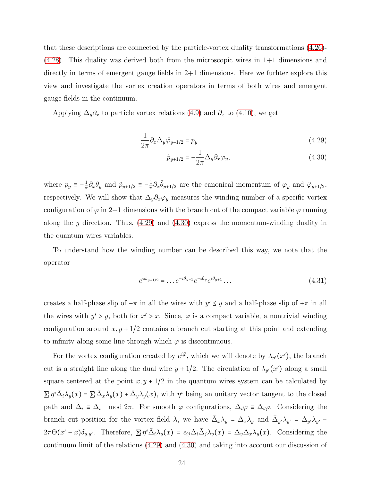that these descriptions are connected by the particle-vortex duality transformations [\(4.26\)](#page-22-1)- [\(4.28\)](#page-22-2). This duality was derived both from the microscopic wires in 1+1 dimensions and directly in terms of emergent gauge fields in 2+1 dimensions. Here we furhter explore this view and investigate the vortex creation operators in terms of both wires and emergent gauge fields in the continuum.

Applying  $\Delta_y \partial_x$  to particle vortex relations [\(4.9\)](#page-18-1) and  $\partial_x$  to [\(4.10\)](#page-18-1), we get

<span id="page-23-0"></span>
$$
\frac{1}{2\pi}\partial_x \Delta_y \tilde{\varphi}_{y-1/2} = p_y \tag{4.29}
$$

$$
\tilde{p}_{y+1/2} = -\frac{1}{2\pi} \Delta_y \partial_x \varphi_y,\tag{4.30}
$$

where  $p_y \equiv -\frac{1}{\pi}$  $\frac{1}{2}\partial_x\theta_y$  and  $\tilde{p}_{y+1/2} \equiv -\frac{1}{\pi}$  $\frac{1}{2}\partial_x \tilde{\theta}_{y+1/2}$  are the canonical momentum of  $\varphi_y$  and  $\tilde{\varphi}_{y+1/2}$ , respectively. We will show that  $\Delta_y \partial_x \varphi_y$  measures the winding number of a specific vortex configuration of  $\varphi$  in 2+1 dimensions with the branch cut of the compact variable  $\varphi$  running along the y direction. Thus,  $(4.29)$  and  $(4.30)$  $(4.30)$  $(4.30)$  express the momentum-winding duality in the quantum wires variables.

To understand how the winding number can be described this way, we note that the operator

$$
e^{i\tilde{\varphi}_{y+1/2}} = \dots e^{-i\theta_{y-1}} e^{-i\theta_y} e^{i\theta_{y+1}} \dots \tag{4.31}
$$

creates a half-phase slip of  $-\pi$  in all the wires with  $y' \leq y$  and a half-phase slip of  $+\pi$  in all the wires with  $y' > y$ , both for  $x' > x$ . Since,  $\varphi$  is a compact variable, a nontrivial winding configuration around  $x, y + 1/2$  contains a branch cut starting at this point and extending to infinity along some line through which  $\varphi$  is discontinuous.

For the vortex configuration created by  $e^{i\tilde{\varphi}}$ , which we will denote by  $\lambda_{y'}(x')$ , the branch cut is a straight line along the dual wire  $y + 1/2$ . The circulation of  $\lambda_{y'}(x')$  along a small square centered at the point  $x, y + 1/2$  in the quantum wires system can be calculated by  $\Sigma \eta^i \overline{\Delta}_i \lambda_y(x) = \Sigma \overline{\Delta}_x \lambda_y(x) + \overline{\Delta}_y \lambda_y(x)$ , with  $\eta^i$  being an unitary vector tangent to the closed path and  $\bar{\Delta}_i \equiv \Delta_i \mod 2\pi$ . For smooth  $\varphi$  configurations,  $\bar{\Delta}_i \varphi \equiv \Delta_i \varphi$ . Considering the branch cut position for the vortex field  $\lambda$ , we have  $\bar{\Delta}_x \lambda_y = \Delta_x \lambda_y$  and  $\bar{\Delta}_{y'} \lambda_{y'} = \Delta_{y'} \lambda_{y'} 2\pi\Theta(x'-x)\delta_{y,y'}$ . Therefore,  $\Sigma \eta^i \bar{\Delta}_i \lambda_y(x) = \epsilon_{ij} \Delta_i \bar{\Delta}_j \lambda_y(x) = \Delta_y \Delta_x \lambda_y(x)$ . Considering the continuum limit of the relations [\(4.29\)](#page-23-0) and [\(4.30\)](#page-23-0) and taking into account our discussion of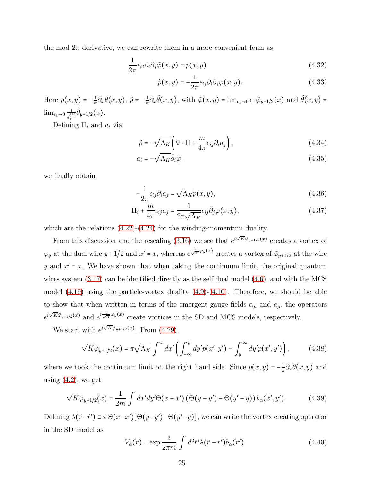the mod  $2\pi$  derivative, we can rewrite them in a more convenient form as

<span id="page-24-0"></span>
$$
\frac{1}{2\pi}\epsilon_{ij}\partial_i\bar{\partial}_j\tilde{\varphi}(x,y) = p(x,y)
$$
\n(4.32)

$$
\tilde{p}(x,y) = -\frac{1}{2\pi} \epsilon_{ij} \partial_i \bar{\partial}_j \varphi(x,y). \tag{4.33}
$$

Here  $p(x, y) = -\frac{1}{\pi}$  $\frac{1}{\pi} \partial_x \theta(x, y), \tilde{p} = -\frac{1}{\pi}$  $\frac{1}{\pi} \partial_x \tilde{\theta}(x, y)$ , with  $\tilde{\varphi}(x, y) = \lim_{\epsilon \to 0} \epsilon_{\perp} \tilde{\varphi}_{y+1/2}(x)$  and  $\tilde{\theta}(x, y) =$  $\lim_{\epsilon_{\perp}\to 0} \frac{1}{\epsilon^{3/2}}$  $\frac{1}{\epsilon_{\perp}^{3/2}} \tilde{\theta}_{y+1/2}(x).$ 

Defining  $\Pi_i$  and  $a_i$  via

<span id="page-24-1"></span>
$$
\tilde{p} = -\sqrt{\Lambda_K} \left( \nabla \cdot \Pi + \frac{m}{4\pi} \epsilon_{ij} \partial_i a_j \right),\tag{4.34}
$$

$$
a_i = -\sqrt{\Lambda_K} \bar{\partial}_i \tilde{\varphi}, \qquad (4.35)
$$

we finally obtain

$$
-\frac{1}{2\pi}\epsilon_{ij}\partial_i a_j = \sqrt{\Lambda_K}p(x,y),\tag{4.36}
$$

$$
\Pi_i + \frac{m}{4\pi} \epsilon_{ij} a_j = \frac{1}{2\pi \sqrt{\Lambda_K}} \epsilon_{ij} \bar{\partial}_j \varphi(x, y), \qquad (4.37)
$$

which are the relations  $(4.22)-(4.24)$  $(4.22)-(4.24)$  for the winding-momentum duality.

From this discussion and the rescaling [\(3.16\)](#page-12-3) we see that  $e^{i\sqrt{K}\tilde{\varphi}_{y+1/2}(x)}$  creates a vortex of  $\varphi_y$  at the dual wire  $y+1/2$  and  $x'=x$ , whereas  $e^{\frac{1}{\sqrt{K}}\varphi_y(x)}$  creates a vortex of  $\tilde{\varphi}_{y+1/2}$  at the wire y and  $x' = x$ . We have shown that when taking the continuum limit, the original quantum wires system  $(3.17)$  can be identified directly as the self dual model  $(4.6)$ , and with the MCS model [\(4.19\)](#page-21-1) using the particle-vortex duality [\(4.9\)](#page-18-1)-[\(4.10\)](#page-18-1). Therefore, we should be able to show that when written in terms of the emergent gauge fields  $\alpha_{\mu}$  and  $a_{\mu}$ , the operators  $e^{i\sqrt{K}\tilde{\varphi}_{y+1/2}(x)}$  and  $e^{i\frac{1}{\sqrt{K}}\varphi_y(x)}$  create vortices in the SD and MCS models, respectively.

We start with  $e^{i\sqrt{K}\tilde{\varphi}_{y+1/2}(x)}$ . From [\(4.29\)](#page-23-0),

$$
\sqrt{K}\tilde{\varphi}_{y+1/2}(x) = \pi \sqrt{\Lambda_K} \int^x dx' \left( \int_{-\infty}^y dy' p(x', y') - \int_y^\infty dy' p(x', y') \right), \tag{4.38}
$$

where we took the continuum limit on the right hand side. Since  $p(x, y) = -\frac{1}{\pi}$  $\frac{1}{\pi} \partial_x \theta(x, y)$  and using  $(4.2)$ , we get

$$
\sqrt{K}\tilde{\varphi}_{y+1/2}(x) = \frac{1}{2m} \int dx'dy' \Theta(x-x') \left(\Theta(y-y') - \Theta(y'-y)\right) b_{\alpha}(x',y'). \tag{4.39}
$$

Defining  $\lambda(\vec{r}-\vec{r}') \equiv \pi \Theta(x-x')[\Theta(y-y')-\Theta(y'-y)],$  we can write the vortex creating operator in the SD model as

$$
V_{\alpha}(\vec{r}) = \exp \frac{i}{2\pi m} \int d^2 \vec{r}' \lambda (\vec{r} - \vec{r}') b_{\alpha}(\vec{r}'). \qquad (4.40)
$$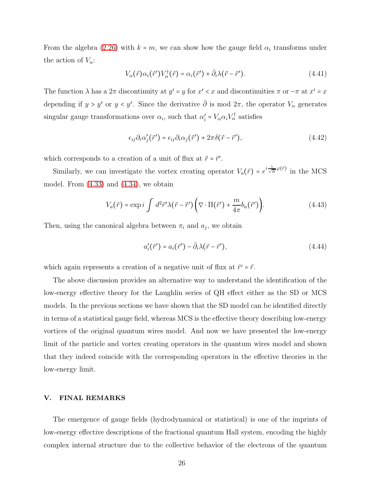From the algebra [\(2.26\)](#page-9-1) with  $k = m$ , we can show how the gauge field  $\alpha_i$  transforms under the action of  $V_{\alpha}$ :

$$
V_{\alpha}(\vec{r})\alpha_i(\vec{r}')V_{\alpha}^{\dagger}(\vec{r}) = \alpha_i(\vec{r}') + \bar{\partial}_i\lambda(\vec{r} - \vec{r}'). \qquad (4.41)
$$

The function  $\lambda$  has a  $2\pi$  discontinuity at  $y' = y$  for  $x' < x$  and discontinuities  $\pi$  or  $-\pi$  at  $x' = x$ depending if  $y > y'$  or  $y < y'$ . Since the derivative  $\overline{\partial}$  is mod  $2\pi$ , the operator  $V_{\alpha}$  generates singular gauge transformations over  $\alpha_i$ , such that  $\alpha'_i = V_\alpha \alpha_i V_\alpha^\dagger$  satisfies

$$
\epsilon_{ij}\partial_i\alpha'_j(\vec{r}') = \epsilon_{ij}\partial_i\alpha_j(\vec{r}') + 2\pi\delta(\vec{r} - \vec{r}'),\tag{4.42}
$$

which corresponds to a creation of a unit of flux at  $\vec{r} = \vec{r}'$ .

Similarly, we can investigate the vortex creating operator  $V_a(\vec{r}) = e^{i\frac{1}{\sqrt{K}}\varphi(\vec{r})}$  in the MCS model. From  $(4.33)$  and  $(4.34)$ , we obtain

$$
V_a(\vec{r}) = \exp i \int d^2 \vec{r}' \lambda (\vec{r} - \vec{r}') \left( \nabla \cdot \Pi (\vec{r}') + \frac{m}{4\pi} b_a(\vec{r}') \right).
$$
 (4.43)

Then, using the canonical algebra between  $\pi_i$  and  $a_j$ , we obtain

$$
a_i'(\vec{r}') = a_i(\vec{r}') - \bar{\partial}_i \lambda(\vec{r} - \vec{r}'), \qquad (4.44)
$$

which again represents a creation of a negative unit of flux at  $\vec{r}' = \vec{r}$ .

The above discussion provides an alternative way to understand the identification of the low-energy effective theory for the Laughlin series of QH effect either as the SD or MCS models. In the previous sections we have shown that the SD model can be identified directly in terms of a statistical gauge field, whereas MCS is the effective theory describing low-energy vortices of the original quantum wires model. And now we have presented the low-energy limit of the particle and vortex creating operators in the quantum wires model and shown that they indeed coincide with the corresponding operators in the effective theories in the low-energy limit.

#### <span id="page-25-0"></span>V. FINAL REMARKS

The emergence of gauge fields (hydrodynamical or statistical) is one of the imprints of low-energy effective descriptions of the fractional quantum Hall system, encoding the highly complex internal structure due to the collective behavior of the electrons of the quantum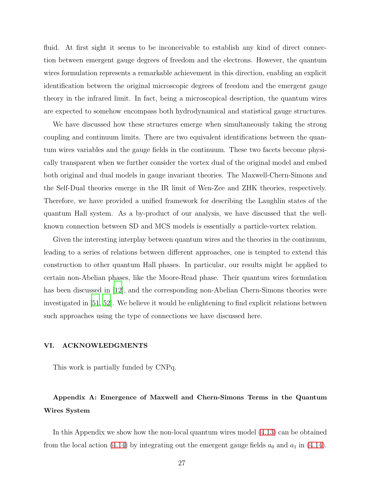fluid. At first sight it seems to be inconceivable to establish any kind of direct connection between emergent gauge degrees of freedom and the electrons. However, the quantum wires formulation represents a remarkable achievement in this direction, enabling an explicit identification between the original microscopic degrees of freedom and the emergent gauge theory in the infrared limit. In fact, being a microscopical description, the quantum wires are expected to somehow encompass both hydrodynamical and statistical gauge structures.

We have discussed how these structures emerge when simultaneously taking the strong coupling and continuum limits. There are two equivalent identifications between the quantum wires variables and the gauge fields in the continuum. These two facets become physically transparent when we further consider the vortex dual of the original model and embed both original and dual models in gauge invariant theories. The Maxwell-Chern-Simons and the Self-Dual theories emerge in the IR limit of Wen-Zee and ZHK theories, respectively. Therefore, we have provided a unified framework for describing the Laughlin states of the quantum Hall system. As a by-product of our analysis, we have discussed that the wellknown connection between SD and MCS models is essentially a particle-vortex relation.

Given the interesting interplay between quantum wires and the theories in the continuum, leading to a series of relations between different approaches, one is tempted to extend this construction to other quantum Hall phases. In particular, our results might be applied to certain non-Abelian phases, like the Moore-Read phase. Their quantum wires formulation has been discussed in [\[12\]](#page-29-1), and the corresponding non-Abelian Chern-Simons theories were investigated in [\[51,](#page-31-11) [52\]](#page-31-12). We believe it would be enlightening to find explicit relations between such approaches using the type of connections we have discussed here.

#### <span id="page-26-0"></span>VI. ACKNOWLEDGMENTS

This work is partially funded by CNPq.

# <span id="page-26-1"></span>Appendix A: Emergence of Maxwell and Chern-Simons Terms in the Quantum Wires System

In this Appendix we show how the non-local quantum wires model [\(4.13\)](#page-19-0) can be obtained from the local action [\(4.14\)](#page-19-2) by integrating out the emergent gauge fields  $a_0$  and  $a_1$  in (4.14).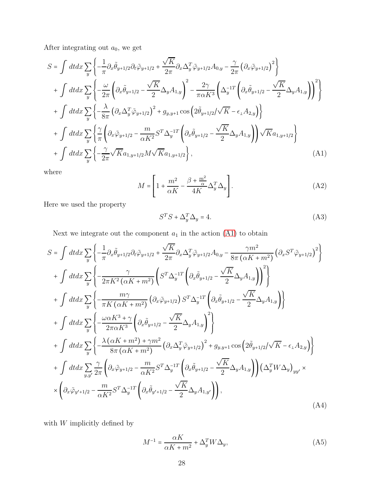After integrating out  $a_0$ , we get

<span id="page-27-0"></span>
$$
S = \int dt dx \sum_{y} \left\{ -\frac{1}{\pi} \partial_x \tilde{\theta}_{y+1/2} \partial_t \tilde{\varphi}_{y+1/2} + \frac{\sqrt{K}}{2\pi} \partial_x \Delta_y^T \tilde{\varphi}_{y+1/2} A_{0,y} - \frac{\gamma}{2\pi} \left( \partial_x \tilde{\varphi}_{y+1/2} \right)^2 \right\} + \int dt dx \sum_{y} \left\{ -\frac{\omega}{2\pi} \left( \partial_x \tilde{\theta}_{y+1/2} - \frac{\sqrt{K}}{2} \Delta_y A_{1,y} \right)^2 - \frac{2\gamma}{\pi \alpha K^3} \left( \Delta_y^{-1T} \left( \partial_x \tilde{\theta}_{y+1/2} - \frac{\sqrt{K}}{2} \Delta_y A_{1,y} \right) \right)^2 \right\} + \int dt dx \sum_{y} \left\{ -\frac{\lambda}{8\pi} \left( \partial_x \Delta_y^T \tilde{\varphi}_{y+1/2} \right)^2 + g_{y,y+1} \cos \left( 2 \tilde{\theta}_{y+1/2} / \sqrt{K} - \epsilon_{\perp} A_{2,y} \right) \right\} + \int dt dx \sum_{y} \left\{ \frac{\gamma}{\pi} \left( \partial_x \tilde{\varphi}_{y+1/2} - \frac{m}{\alpha K^2} S^T \Delta_y^{-1T} \left( \partial_x \tilde{\theta}_{y+1/2} - \frac{\sqrt{K}}{2} \Delta_y A_{1,y} \right) \right) \sqrt{K} a_{1,y+1/2} \right\} + \int dt dx \sum_{y} \left\{ -\frac{\gamma}{2\pi} \sqrt{K} a_{1,y+1/2} M \sqrt{K} a_{1,y+1/2} \right\},
$$
(A1)

where

$$
M = \left[1 + \frac{m^2}{\alpha K} - \frac{\beta + \frac{m^2}{\alpha}}{4K} \Delta_y^T \Delta_y\right].
$$
 (A2)

Here we used the property

$$
S^T S + \Delta_y^T \Delta_y = 4. \tag{A3}
$$

Next we integrate out the component  $a_1$  in the action  $(A1)$  to obtain

<span id="page-27-1"></span>
$$
S = \int dt dx \sum_{y} \left\{ -\frac{1}{\pi} \partial_x \tilde{\theta}_{y+1/2} \partial_t \tilde{\varphi}_{y+1/2} + \frac{\sqrt{K}}{2\pi} \partial_x \Delta_y^T \tilde{\varphi}_{y+1/2} A_{0,y} - \frac{\gamma m^2}{8\pi (\alpha K + m^2)} \left( \partial_x S^T \tilde{\varphi}_{y+1/2} \right)^2 \right\}
$$
  
+ 
$$
\int dt dx \sum_{y} \left\{ -\frac{\gamma}{2\pi K^2 (\alpha K + m^2)} \left( S^T \Delta_y^{-1T} \left( \partial_x \tilde{\theta}_{y+1/2} - \frac{\sqrt{K}}{2} \Delta_y A_{1,y} \right) \right)^2 \right\}
$$
  
+ 
$$
\int dt dx \sum_{y} \left\{ -\frac{m\gamma}{\pi K (\alpha K + m^2)} \left( \partial_x \tilde{\varphi}_{y+1/2} \right) S^T \Delta_y^{-1T} \left( \partial_x \tilde{\theta}_{y+1/2} - \frac{\sqrt{K}}{2} \Delta_y A_{1,y} \right) \right\}
$$
  
+ 
$$
\int dt dx \sum_{y} \left\{ -\frac{\omega \alpha K^3 + \gamma}{2\pi \alpha K^3} \left( \partial_x \tilde{\theta}_{y+1/2} - \frac{\sqrt{K}}{2} \Delta_y A_{1,y} \right)^2 \right\}
$$
  
+ 
$$
\int dt dx \sum_{y} \left\{ -\frac{\lambda (\alpha K + m^2) + \gamma m^2}{8\pi (\alpha K + m^2)} \left( \partial_x \Delta_y^T \tilde{\varphi}_{y+1/2} \right)^2 + g_{y,y+1} \cos \left( 2 \tilde{\theta}_{y+1/2} / \sqrt{K} - \epsilon_{\perp} A_{2,y} \right) \right\}
$$
  
+ 
$$
\int dt dx \sum_{y,y'} \frac{\gamma}{2\pi} \left( \partial_x \tilde{\varphi}_{y+1/2} - \frac{m}{\alpha K^2} S^T \Delta_y^{-1T} \left( \partial_x \tilde{\theta}_{y+1/2} - \frac{\sqrt{K}}{2} \Delta_y A_{1,y} \right) \right) \left( \Delta_y^T W \Delta_y \right)_{yy} \times
$$
  
+ 
$$
\left( \partial_x \tilde{\varphi}_{y'+1/2} - \frac{m}{\alpha K^
$$

with  $\boldsymbol{W}$  implicitly defined by

$$
M^{-1} = \frac{\alpha K}{\alpha K + m^2} + \Delta_y^T W \Delta_y,\tag{A5}
$$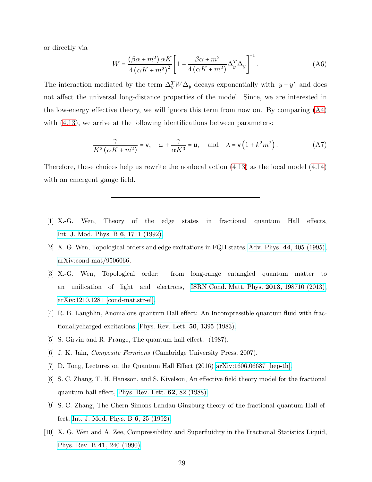or directly via

$$
W = \frac{(\beta\alpha + m^2)\,\alpha K}{4\left(\alpha K + m^2\right)^2} \left[1 - \frac{\beta\alpha + m^2}{4\left(\alpha K + m^2\right)} \Delta_y^T \Delta_y\right]^{-1}.\tag{A6}
$$

The interaction mediated by the term  $\Delta_y^T W \Delta_y$  decays exponentially with  $|y - y'|$  and does not affect the universal long-distance properties of the model. Since, we are interested in the low-energy effective theory, we will ignore this term from now on. By comparing [\(A4\)](#page-27-1) with  $(4.13)$ , we arrive at the following identifications between parameters:

<span id="page-28-0"></span>
$$
\frac{\gamma}{K^2(\alpha K + m^2)} = \mathsf{v}, \quad \omega + \frac{\gamma}{\alpha K^3} = \mathsf{u}, \quad \text{and} \quad \lambda = \mathsf{v}\left(1 + k^2 m^2\right). \tag{A7}
$$

Therefore, these choices help us rewrite the nonlocal action [\(4.13\)](#page-19-0) as the local model [\(4.14\)](#page-19-2) with an emergent gauge field.

- <span id="page-28-1"></span>[1] X.-G. Wen, Theory of the edge states in fractional quantum Hall effects, [Int. J. Mod. Phys. B](https://doi.org/10.1142/S0217979292000840) 6, 1711 (1992).
- <span id="page-28-8"></span>[2] X.-G. Wen, Topological orders and edge excitations in FQH states, Adv. Phys. 44[, 405 \(1995\),](https://doi.org/10.1080/00018739500101566) [arXiv:cond-mat/9506066.](https://arxiv.org/abs/cond-mat/9506066)
- <span id="page-28-2"></span>[3] X.-G. Wen, Topological order: from long-range entangled quantum matter to an unification of light and electrons, [ISRN Cond. Matt. Phys.](https://doi.org/10.1155/2013/198710) 2013, 198710 (2013), [arXiv:1210.1281 \[cond-mat.str-el\].](https://arxiv.org/abs/1210.1281)
- <span id="page-28-3"></span>[4] R. B. Laughlin, Anomalous quantum Hall effect: An Incompressible quantum fluid with fractionallycharged excitations, [Phys. Rev. Lett.](https://doi.org/10.1103/PhysRevLett.50.1395) 50, 1395 (1983).
- <span id="page-28-4"></span>[5] S. Girvin and R. Prange, The quantum hall effect, (1987).
- <span id="page-28-5"></span>[6] J. K. Jain, Composite Fermions (Cambridge University Press, 2007).
- [7] D. Tong, Lectures on the Quantum Hall Effect (2016) [arXiv:1606.06687 \[hep-th\].](https://arxiv.org/abs/1606.06687)
- <span id="page-28-6"></span>[8] S. C. Zhang, T. H. Hansson, and S. Kivelson, An effective field theory model for the fractional quantum hall effect, [Phys. Rev. Lett.](https://doi.org/10.1103/PhysRevLett.62.82) 62, 82 (1988).
- <span id="page-28-7"></span>[9] S.-C. Zhang, The Chern-Simons-Landau-Ginzburg theory of the fractional quantum Hall effect, [Int. J. Mod. Phys. B](https://doi.org/10.1142/S0217979292000037) 6, 25 (1992).
- <span id="page-28-9"></span>[10] X. G. Wen and A. Zee, Compressibility and Superfluidity in the Fractional Statistics Liquid, [Phys. Rev. B](https://doi.org/10.1103/PhysRevB.41.240) 41, 240 (1990).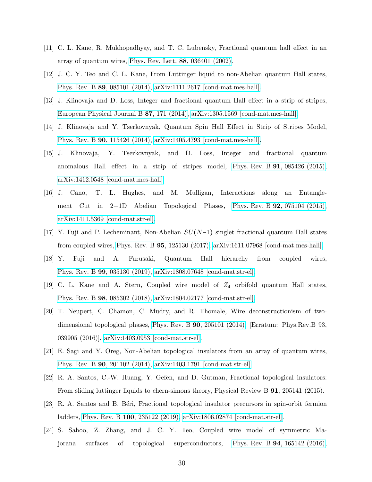- <span id="page-29-0"></span>[11] C. L. Kane, R. Mukhopadhyay, and T. C. Lubensky, Fractional quantum hall effect in an array of quantum wires, [Phys. Rev. Lett.](https://doi.org/10.1103/PhysRevLett.88.036401) 88, 036401 (2002).
- <span id="page-29-1"></span>[12] J. C. Y. Teo and C. L. Kane, From Luttinger liquid to non-Abelian quantum Hall states, Phys. Rev. B 89[, 085101 \(2014\),](https://doi.org/10.1103/PhysRevB.89.085101) [arXiv:1111.2617 \[cond-mat.mes-hall\].](https://arxiv.org/abs/1111.2617)
- <span id="page-29-2"></span>[13] J. Klinovaja and D. Loss, Integer and fractional quantum Hall effect in a strip of stripes, [European Physical Journal B](https://doi.org/10.1140/epjb/e2014-50395-6) 87, 171 (2014), [arXiv:1305.1569 \[cond-mat.mes-hall\].](https://arxiv.org/abs/1305.1569)
- [14] J. Klinovaja and Y. Tserkovnyak, Quantum Spin Hall Effect in Strip of Stripes Model, Phys. Rev. B 90[, 115426 \(2014\),](https://doi.org/10.1103/PhysRevB.90.115426) [arXiv:1405.4793 \[cond-mat.mes-hall\].](https://arxiv.org/abs/1405.4793)
- [15] J. Klinovaja, Y. Tserkovnyak, and D. Loss, Integer and fractional quantum anomalous Hall effect in a strip of stripes model, Phys. Rev. B 91[, 085426 \(2015\),](https://doi.org/10.1103/PhysRevB.91.085426) [arXiv:1412.0548 \[cond-mat.mes-hall\].](https://arxiv.org/abs/1412.0548)
- [16] J. Cano, T. L. Hughes, and M. Mulligan, Interactions along an Entanglement Cut in  $2+1D$  Abelian Topological Phases, Phys. Rev. B **92**[, 075104 \(2015\),](https://doi.org/10.1103/PhysRevB.92.075104) [arXiv:1411.5369 \[cond-mat.str-el\].](https://arxiv.org/abs/1411.5369)
- [17] Y. Fuji and P. Lecheminant, Non-Abelian SU(N−1) singlet fractional quantum Hall states from coupled wires, Phys. Rev. B 95[, 125130 \(2017\),](https://doi.org/10.1103/PhysRevB.95.125130) [arXiv:1611.07968 \[cond-mat.mes-hall\].](https://arxiv.org/abs/1611.07968)
- [18] Y. Fuji and A. Furusaki, Quantum Hall hierarchy from coupled wires, Phys. Rev. B 99[, 035130 \(2019\),](https://doi.org/10.1103/PhysRevB.99.035130) [arXiv:1808.07648 \[cond-mat.str-el\].](https://arxiv.org/abs/1808.07648)
- <span id="page-29-3"></span>[19] C. L. Kane and A. Stern, Coupled wire model of  $Z_4$  orbifold quantum Hall states, Phys. Rev. B 98[, 085302 \(2018\),](https://doi.org/10.1103/PhysRevB.98.085302) [arXiv:1804.02177 \[cond-mat.str-el\].](https://arxiv.org/abs/1804.02177)
- <span id="page-29-4"></span>[20] T. Neupert, C. Chamon, C. Mudry, and R. Thomale, Wire deconstructionism of twodimensional topological phases, Phys. Rev. B 90[, 205101 \(2014\),](https://doi.org/10.1103/PhysRevB.90.205101) [Erratum: Phys.Rev.B 93, 039905 (2016)], [arXiv:1403.0953 \[cond-mat.str-el\].](https://arxiv.org/abs/1403.0953)
- [21] E. Sagi and Y. Oreg, Non-Abelian topological insulators from an array of quantum wires, Phys. Rev. B 90[, 201102 \(2014\),](https://doi.org/10.1103/PhysRevB.90.201102) [arXiv:1403.1791 \[cond-mat.str-el\].](https://arxiv.org/abs/1403.1791)
- [22] R. A. Santos, C.-W. Huang, Y. Gefen, and D. Gutman, Fractional topological insulators: From sliding luttinger liquids to chern-simons theory, Physical Review B 91, 205141 (2015).
- <span id="page-29-5"></span>[23] R. A. Santos and B. Béri, Fractional topological insulator precursors in spin-orbit fermion ladders, Phys. Rev. B 100[, 235122 \(2019\),](https://doi.org/10.1103/PhysRevB.100.235122) [arXiv:1806.02874 \[cond-mat.str-el\].](https://arxiv.org/abs/1806.02874)
- <span id="page-29-6"></span>[24] S. Sahoo, Z. Zhang, and J. C. Y. Teo, Coupled wire model of symmetric Majorana surfaces of topological superconductors, Phys. Rev. B 94[, 165142 \(2016\),](https://doi.org/10.1103/PhysRevB.94.165142)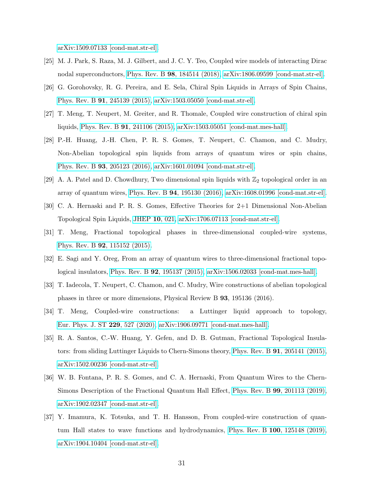[arXiv:1509.07133 \[cond-mat.str-el\].](https://arxiv.org/abs/1509.07133)

- <span id="page-30-0"></span>[25] M. J. Park, S. Raza, M. J. Gilbert, and J. C. Y. Teo, Coupled wire models of interacting Dirac nodal superconductors, Phys. Rev. B 98[, 184514 \(2018\),](https://doi.org/10.1103/PhysRevB.98.184514) [arXiv:1806.09599 \[cond-mat.str-el\].](https://arxiv.org/abs/1806.09599)
- <span id="page-30-1"></span>[26] G. Gorohovsky, R. G. Pereira, and E. Sela, Chiral Spin Liquids in Arrays of Spin Chains, Phys. Rev. B 91[, 245139 \(2015\),](https://doi.org/10.1103/PhysRevB.91.245139) [arXiv:1503.05050 \[cond-mat.str-el\].](https://arxiv.org/abs/1503.05050)
- [27] T. Meng, T. Neupert, M. Greiter, and R. Thomale, Coupled wire construction of chiral spin liquids, Phys. Rev. B 91[, 241106 \(2015\),](https://doi.org/10.1103/PhysRevB.91.241106) [arXiv:1503.05051 \[cond-mat.mes-hall\].](https://arxiv.org/abs/1503.05051)
- [28] P.-H. Huang, J.-H. Chen, P. R. S. Gomes, T. Neupert, C. Chamon, and C. Mudry, Non-Abelian topological spin liquids from arrays of quantum wires or spin chains, Phys. Rev. B 93[, 205123 \(2016\),](https://doi.org/10.1103/PhysRevB.93.205123) [arXiv:1601.01094 \[cond-mat.str-el\].](https://arxiv.org/abs/1601.01094)
- [29] A. A. Patel and D. Chowdhury, Two dimensional spin liquids with  $\mathbb{Z}_2$  topological order in an array of quantum wires, Phys. Rev. B 94[, 195130 \(2016\),](https://doi.org/10.1103/PhysRevB.94.195130) [arXiv:1608.01996 \[cond-mat.str-el\].](https://arxiv.org/abs/1608.01996)
- <span id="page-30-2"></span>[30] C. A. Hernaski and P. R. S. Gomes, Effective Theories for 2+1 Dimensional Non-Abelian Topological Spin Liquids, [JHEP](https://doi.org/10.1007/JHEP10(2017)021) 10, 021, [arXiv:1706.07113 \[cond-mat.str-el\].](https://arxiv.org/abs/1706.07113)
- <span id="page-30-3"></span>[31] T. Meng, Fractional topological phases in three-dimensional coupled-wire systems, Phys. Rev. B 92[, 115152 \(2015\).](https://doi.org/10.1103/PhysRevB.92.115152)
- [32] E. Sagi and Y. Oreg, From an array of quantum wires to three-dimensional fractional topological insulators, Phys. Rev. B 92[, 195137 \(2015\),](https://doi.org/10.1103/PhysRevB.92.195137) [arXiv:1506.02033 \[cond-mat.mes-hall\].](https://arxiv.org/abs/1506.02033)
- <span id="page-30-4"></span>[33] T. Iadecola, T. Neupert, C. Chamon, and C. Mudry, Wire constructions of abelian topological phases in three or more dimensions, Physical Review B 93, 195136 (2016).
- <span id="page-30-5"></span>[34] T. Meng, Coupled-wire constructions: a Luttinger liquid approach to topology, [Eur. Phys. J. ST](https://doi.org/10.1140/epjst/e2019-900095-5) 229, 527 (2020), [arXiv:1906.09771 \[cond-mat.mes-hall\].](https://arxiv.org/abs/1906.09771)
- <span id="page-30-6"></span>[35] R. A. Santos, C.-W. Huang, Y. Gefen, and D. B. Gutman, Fractional Topological Insulators: from sliding Luttinger Liquids to Chern-Simons theory, Phys. Rev. B 91[, 205141 \(2015\),](https://doi.org/10.1103/PhysRevB.91.205141) [arXiv:1502.00236 \[cond-mat.str-el\].](https://arxiv.org/abs/1502.00236)
- <span id="page-30-8"></span>[36] W. B. Fontana, P. R. S. Gomes, and C. A. Hernaski, From Quantum Wires to the Chern-Simons Description of the Fractional Quantum Hall Effect, Phys. Rev. B 99[, 201113 \(2019\),](https://doi.org/10.1103/PhysRevB.99.201113) [arXiv:1902.02347 \[cond-mat.str-el\].](https://arxiv.org/abs/1902.02347)
- <span id="page-30-7"></span>[37] Y. Imamura, K. Totsuka, and T. H. Hansson, From coupled-wire construction of quantum Hall states to wave functions and hydrodynamics, Phys. Rev. B 100[, 125148 \(2019\),](https://doi.org/10.1103/PhysRevB.100.125148) [arXiv:1904.10404 \[cond-mat.str-el\].](https://arxiv.org/abs/1904.10404)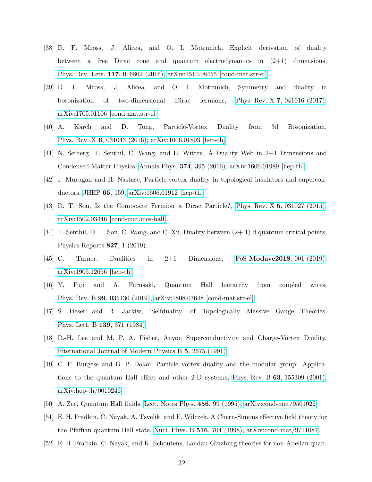- <span id="page-31-0"></span>[38] D. F. Mross, J. Alicea, and O. I. Motrunich, Explicit derivation of duality between a free Dirac cone and quantum electrodynamics in (2+1) dimensions, [Phys. Rev. Lett.](https://doi.org/10.1103/PhysRevLett.117.016802) 117, 016802 (2016), [arXiv:1510.08455 \[cond-mat.str-el\].](https://arxiv.org/abs/1510.08455)
- <span id="page-31-1"></span>[39] D. F. Mross, J. Alicea, and O. I. Motrunich, Symmetry and duality in bosonization of two-dimensional Dirac fermions, Phys. Rev. X 7[, 041016 \(2017\),](https://doi.org/10.1103/PhysRevX.7.041016) [arXiv:1705.01106 \[cond-mat.str-el\].](https://arxiv.org/abs/1705.01106)
- <span id="page-31-2"></span>[40] A. Karch and D. Tong, Particle-Vortex Duality from 3d Bosonization, Phys. Rev. X 6[, 031043 \(2016\),](https://doi.org/10.1103/PhysRevX.6.031043) [arXiv:1606.01893 \[hep-th\].](https://arxiv.org/abs/1606.01893)
- [41] N. Seiberg, T. Senthil, C. Wang, and E. Witten, A Duality Web in 2+1 Dimensions and Condensed Matter Physics, [Annals Phys.](https://doi.org/10.1016/j.aop.2016.08.007) 374, 395 (2016), [arXiv:1606.01989 \[hep-th\].](https://arxiv.org/abs/1606.01989)
- <span id="page-31-3"></span>[42] J. Murugan and H. Nastase, Particle-vortex duality in topological insulators and superconductors, [JHEP](https://doi.org/10.1007/JHEP05(2017)159) 05, 159, [arXiv:1606.01912 \[hep-th\].](https://arxiv.org/abs/1606.01912)
- <span id="page-31-4"></span>[43] D. T. Son, Is the Composite Fermion a Dirac Particle?, Phys. Rev. X 5[, 031027 \(2015\),](https://doi.org/10.1103/PhysRevX.5.031027) [arXiv:1502.03446 \[cond-mat.mes-hall\].](https://arxiv.org/abs/1502.03446)
- <span id="page-31-5"></span>[44] T. Senthil, D. T. Son, C. Wang, and C. Xu, Duality between (2+ 1) d quantum critical points, Physics Reports 827, 1 (2019).
- <span id="page-31-6"></span>[45] C. Turner, Dualities in  $2+1$  Dimensions, PoS Modave 2018, 001 (2019), [arXiv:1905.12656 \[hep-th\].](https://arxiv.org/abs/1905.12656)
- <span id="page-31-7"></span>[46] Y. Fuji and A. Furusaki, Quantum Hall hierarchy from coupled wires, Phys. Rev. B 99[, 035130 \(2019\),](https://doi.org/10.1103/PhysRevB.99.035130) [arXiv:1808.07648 \[cond-mat.str-el\].](https://arxiv.org/abs/1808.07648)
- <span id="page-31-8"></span>[47] S. Deser and R. Jackiw, 'Selfduality' of Topologically Massive Gauge Theories, [Phys. Lett. B](https://doi.org/10.1016/0370-2693(84)91833-1) 139, 371 (1984).
- <span id="page-31-9"></span>[48] D.-H. Lee and M. P. A. Fisher, Anyon Superconductivity and Charge-Vortex Duality, [International Journal of Modern Physics B](https://doi.org/10.1142/S0217979291001061) 5, 2675 (1991).
- [49] C. P. Burgess and B. P. Dolan, Particle vortex duality and the modular group: Applications to the quantum Hall effect and other 2-D systems, Phys. Rev. B 63[, 155309 \(2001\),](https://doi.org/10.1103/PhysRevB.63.155309) [arXiv:hep-th/0010246.](https://arxiv.org/abs/hep-th/0010246)
- <span id="page-31-10"></span>[50] A. Zee, Quantum Hall fluids, [Lect. Notes Phys.](https://doi.org/10.1007/BFb0113369) 456, 99 (1995), [arXiv:cond-mat/9501022.](https://arxiv.org/abs/cond-mat/9501022)
- <span id="page-31-11"></span>[51] E. H. Fradkin, C. Nayak, A. Tsvelik, and F. Wilczek, A Chern-Simons effective field theory for the Pfaffian quantum Hall state, [Nucl. Phys. B](https://doi.org/10.1016/S0550-3213(98)00111-4) 516, 704 (1998), [arXiv:cond-mat/9711087.](https://arxiv.org/abs/cond-mat/9711087)
- <span id="page-31-12"></span>[52] E. H. Fradkin, C. Nayak, and K. Schoutens, Landau-Ginzburg theories for non-Abelian quan-